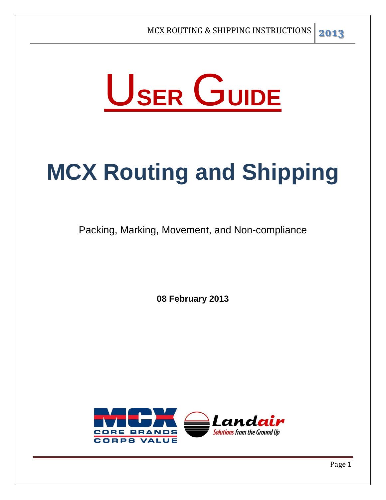

# **MCX Routing and Shipping**

Packing, Marking, Movement, and Non-compliance

**08 February 2013** 

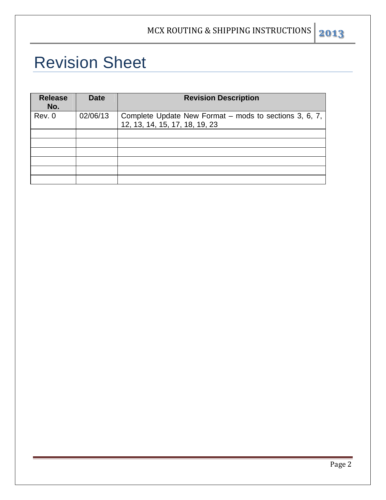# Revision Sheet

| <b>Release</b><br>No. | <b>Date</b> | <b>Revision Description</b>                                                              |
|-----------------------|-------------|------------------------------------------------------------------------------------------|
| Rev. 0                | 02/06/13    | Complete Update New Format - mods to sections 3, 6, 7,<br>12, 13, 14, 15, 17, 18, 19, 23 |
|                       |             |                                                                                          |
|                       |             |                                                                                          |
|                       |             |                                                                                          |
|                       |             |                                                                                          |
|                       |             |                                                                                          |
|                       |             |                                                                                          |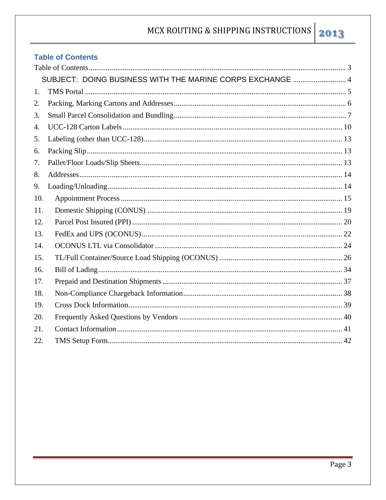# 2013

#### **Table of Contents**

|     | SUBJECT: DOING BUSINESS WITH THE MARINE CORPS EXCHANGE  4 |  |
|-----|-----------------------------------------------------------|--|
| 1.  |                                                           |  |
| 2.  |                                                           |  |
| 3.  |                                                           |  |
| 4.  |                                                           |  |
| 5.  |                                                           |  |
| 6.  |                                                           |  |
| 7.  |                                                           |  |
| 8.  |                                                           |  |
| 9.  |                                                           |  |
| 10. |                                                           |  |
| 11. |                                                           |  |
| 12. |                                                           |  |
| 13. |                                                           |  |
| 14. |                                                           |  |
| 15. |                                                           |  |
| 16. |                                                           |  |
| 17. |                                                           |  |
| 18. |                                                           |  |
| 19. |                                                           |  |
| 20. |                                                           |  |
| 21. |                                                           |  |
| 22. |                                                           |  |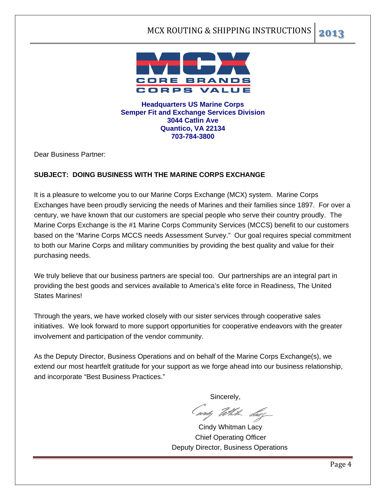

**Headquarters US Marine Corps Semper Fit and Exchange Services Division 3044 Catlin Ave Quantico, VA 22134 703-784-3800** 

Dear Business Partner:

#### **SUBJECT: DOING BUSINESS WITH THE MARINE CORPS EXCHANGE**

It is a pleasure to welcome you to our Marine Corps Exchange (MCX) system. Marine Corps Exchanges have been proudly servicing the needs of Marines and their families since 1897. For over a century, we have known that our customers are special people who serve their country proudly. The Marine Corps Exchange is the #1 Marine Corps Community Services (MCCS) benefit to our customers based on the "Marine Corps MCCS needs Assessment Survey." Our goal requires special commitment to both our Marine Corps and military communities by providing the best quality and value for their purchasing needs.

We truly believe that our business partners are special too. Our partnerships are an integral part in providing the best goods and services available to America's elite force in Readiness, The United States Marines!

Through the years, we have worked closely with our sister services through cooperative sales initiatives. We look forward to more support opportunities for cooperative endeavors with the greater involvement and participation of the vendor community.

As the Deputy Director, Business Operations and on behalf of the Marine Corps Exchange(s), we extend our most heartfelt gratitude for your support as we forge ahead into our business relationship, and incorporate "Best Business Practices."

**Sincerely** 

(mý tekk sko

 Cindy Whitman Lacy Chief Operating Officer Deputy Director, Business Operations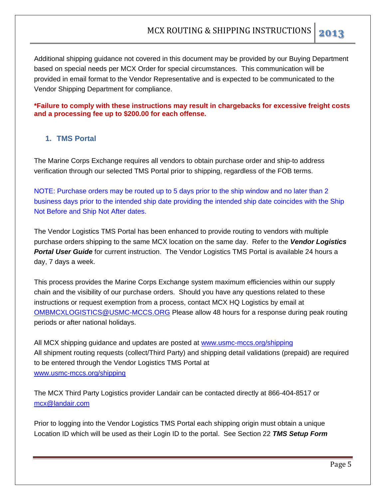Additional shipping guidance not covered in this document may be provided by our Buying Department based on special needs per MCX Order for special circumstances. This communication will be provided in email format to the Vendor Representative and is expected to be communicated to the Vendor Shipping Department for compliance.

**\*Failure to comply with these instructions may result in chargebacks for excessive freight costs and a processing fee up to \$200.00 for each offense.**

#### **1. TMS Portal**

The Marine Corps Exchange requires all vendors to obtain purchase order and ship-to address verification through our selected TMS Portal prior to shipping, regardless of the FOB terms.

NOTE: Purchase orders may be routed up to 5 days prior to the ship window and no later than 2 business days prior to the intended ship date providing the intended ship date coincides with the Ship Not Before and Ship Not After dates.

The Vendor Logistics TMS Portal has been enhanced to provide routing to vendors with multiple purchase orders shipping to the same MCX location on the same day. Refer to the *Vendor Logistics Portal User Guide* for current instruction. The Vendor Logistics TMS Portal is available 24 hours a day, 7 days a week.

This process provides the Marine Corps Exchange system maximum efficiencies within our supply chain and the visibility of our purchase orders. Should you have any questions related to these instructions or request exemption from a process, contact MCX HQ Logistics by email at OMBMCXLOGISTICS@USMC-MCCS.ORG Please allow 48 hours for a response during peak routing periods or after national holidays.

All MCX shipping guidance and updates are posted at www.usmc-mccs.org/shipping All shipment routing requests (collect/Third Party) and shipping detail validations (prepaid) are required to be entered through the Vendor Logistics TMS Portal at www.usmc-mccs.org/shipping

The MCX Third Party Logistics provider Landair can be contacted directly at 866-404-8517 or mcx@landair.com

Prior to logging into the Vendor Logistics TMS Portal each shipping origin must obtain a unique Location ID which will be used as their Login ID to the portal. See Section 22 *TMS Setup Form*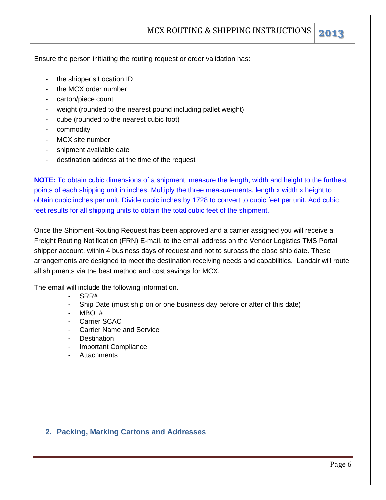Ensure the person initiating the routing request or order validation has:

- the shipper's Location ID
- the MCX order number
- carton/piece count
- weight (rounded to the nearest pound including pallet weight)
- cube (rounded to the nearest cubic foot)
- commodity
- MCX site number
- shipment available date
- destination address at the time of the request

**NOTE:** To obtain cubic dimensions of a shipment, measure the length, width and height to the furthest points of each shipping unit in inches. Multiply the three measurements, length x width x height to obtain cubic inches per unit. Divide cubic inches by 1728 to convert to cubic feet per unit. Add cubic feet results for all shipping units to obtain the total cubic feet of the shipment.

Once the Shipment Routing Request has been approved and a carrier assigned you will receive a Freight Routing Notification (FRN) E-mail, to the email address on the Vendor Logistics TMS Portal shipper account, within 4 business days of request and not to surpass the close ship date. These arrangements are designed to meet the destination receiving needs and capabilities. Landair will route all shipments via the best method and cost savings for MCX.

The email will include the following information.

- SRR#
- Ship Date (must ship on or one business day before or after of this date)
- MBOL#
- Carrier SCAC
- Carrier Name and Service
- **Destination**
- Important Compliance
- Attachments

#### **2. Packing, Marking Cartons and Addresses**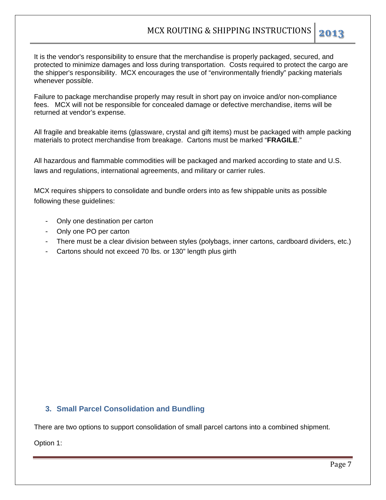It is the vendor's responsibility to ensure that the merchandise is properly packaged, secured, and protected to minimize damages and loss during transportation. Costs required to protect the cargo are the shipper's responsibility. MCX encourages the use of "environmentally friendly" packing materials whenever possible.

Failure to package merchandise properly may result in short pay on invoice and/or non-compliance fees. MCX will not be responsible for concealed damage or defective merchandise, items will be returned at vendor's expense.

All fragile and breakable items (glassware, crystal and gift items) must be packaged with ample packing materials to protect merchandise from breakage. Cartons must be marked "**FRAGILE**."

All hazardous and flammable commodities will be packaged and marked according to state and U.S. laws and regulations, international agreements, and military or carrier rules.

MCX requires shippers to consolidate and bundle orders into as few shippable units as possible following these guidelines:

- Only one destination per carton
- Only one PO per carton
- There must be a clear division between styles (polybags, inner cartons, cardboard dividers, etc.)
- Cartons should not exceed 70 lbs. or 130" length plus girth

#### **3. Small Parcel Consolidation and Bundling**

There are two options to support consolidation of small parcel cartons into a combined shipment.

Option 1: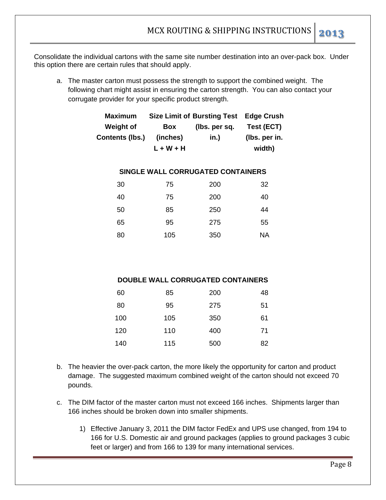Consolidate the individual cartons with the same site number destination into an over-pack box. Under this option there are certain rules that should apply.

a. The master carton must possess the strength to support the combined weight. The following chart might assist in ensuring the carton strength. You can also contact your corrugate provider for your specific product strength.

| <b>Maximum</b>   |           | Size Limit of Bursting Test Edge Crush |               |
|------------------|-----------|----------------------------------------|---------------|
| <b>Weight of</b> | Box       | (lbs. per sq.                          | Test (ECT)    |
| Contents (lbs.)  | (inches)  | in.)                                   | (Ibs. per in. |
|                  | L + W + H |                                        | width)        |

#### **SINGLE WALL CORRUGATED CONTAINERS**

| 30 | 75  | 200 | 32        |
|----|-----|-----|-----------|
| 40 | 75  | 200 | 40        |
| 50 | 85  | 250 | 44        |
| 65 | 95  | 275 | 55        |
| 80 | 105 | 350 | <b>NA</b> |

#### **DOUBLE WALL CORRUGATED CONTAINERS**

| 60  | 85  | 200 | 48 |
|-----|-----|-----|----|
| 80  | 95  | 275 | 51 |
| 100 | 105 | 350 | 61 |
| 120 | 110 | 400 | 71 |
| 140 | 115 | 500 | 82 |

- b. The heavier the over-pack carton, the more likely the opportunity for carton and product damage. The suggested maximum combined weight of the carton should not exceed 70 pounds.
- c. The DIM factor of the master carton must not exceed 166 inches. Shipments larger than 166 inches should be broken down into smaller shipments.
	- 1) Effective January 3, 2011 the DIM factor FedEx and UPS use changed, from 194 to 166 for U.S. Domestic air and ground packages (applies to ground packages 3 cubic feet or larger) and from 166 to 139 for many international services.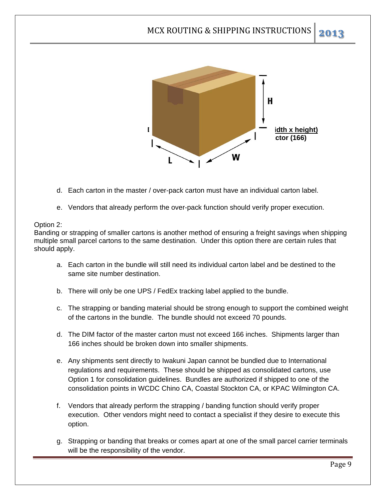

- d. Each carton in the master / over-pack carton must have an individual carton label.
- e. Vendors that already perform the over-pack function should verify proper execution.

#### Option 2:

Banding or strapping of smaller cartons is another method of ensuring a freight savings when shipping multiple small parcel cartons to the same destination. Under this option there are certain rules that should apply.

- a. Each carton in the bundle will still need its individual carton label and be destined to the same site number destination.
- b. There will only be one UPS / FedEx tracking label applied to the bundle.
- c. The strapping or banding material should be strong enough to support the combined weight of the cartons in the bundle. The bundle should not exceed 70 pounds.
- d. The DIM factor of the master carton must not exceed 166 inches. Shipments larger than 166 inches should be broken down into smaller shipments.
- e. Any shipments sent directly to Iwakuni Japan cannot be bundled due to International regulations and requirements. These should be shipped as consolidated cartons, use Option 1 for consolidation guidelines. Bundles are authorized if shipped to one of the consolidation points in WCDC Chino CA, Coastal Stockton CA, or KPAC Wilmington CA.
- f. Vendors that already perform the strapping / banding function should verify proper execution. Other vendors might need to contact a specialist if they desire to execute this option.
- g. Strapping or banding that breaks or comes apart at one of the small parcel carrier terminals will be the responsibility of the vendor.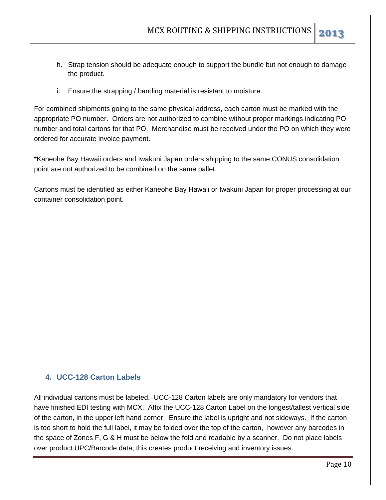- h. Strap tension should be adequate enough to support the bundle but not enough to damage the product.
- i. Ensure the strapping / banding material is resistant to moisture.

For combined shipments going to the same physical address, each carton must be marked with the appropriate PO number. Orders are not authorized to combine without proper markings indicating PO number and total cartons for that PO. Merchandise must be received under the PO on which they were ordered for accurate invoice payment.

\*Kaneohe Bay Hawaii orders and Iwakuni Japan orders shipping to the same CONUS consolidation point are not authorized to be combined on the same pallet.

Cartons must be identified as either Kaneohe Bay Hawaii or Iwakuni Japan for proper processing at our container consolidation point.

#### **4. UCC-128 Carton Labels**

All individual cartons must be labeled. UCC-128 Carton labels are only mandatory for vendors that have finished EDI testing with MCX. Affix the UCC-128 Carton Label on the longest/tallest vertical side of the carton, in the upper left hand corner. Ensure the label is upright and not sideways. If the carton is too short to hold the full label, it may be folded over the top of the carton, however any barcodes in the space of Zones F, G & H must be below the fold and readable by a scanner. Do not place labels over product UPC/Barcode data; this creates product receiving and inventory issues.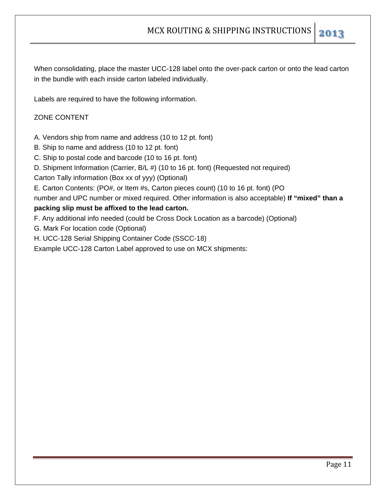When consolidating, place the master UCC-128 label onto the over-pack carton or onto the lead carton in the bundle with each inside carton labeled individually.

Labels are required to have the following information.

#### ZONE CONTENT

- A. Vendors ship from name and address (10 to 12 pt. font)
- B. Ship to name and address (10 to 12 pt. font)
- C. Ship to postal code and barcode (10 to 16 pt. font)
- D. Shipment Information (Carrier, B/L #) (10 to 16 pt. font) (Requested not required)
- Carton Tally information (Box xx of yyy) (Optional)
- E. Carton Contents: (PO#, or Item #s, Carton pieces count) (10 to 16 pt. font) (PO
- number and UPC number or mixed required. Other information is also acceptable) **If "mixed" than a**

#### **packing slip must be affixed to the lead carton.**

- F. Any additional info needed (could be Cross Dock Location as a barcode) (Optional)
- G. Mark For location code (Optional)
- H. UCC-128 Serial Shipping Container Code (SSCC-18)
- Example UCC-128 Carton Label approved to use on MCX shipments: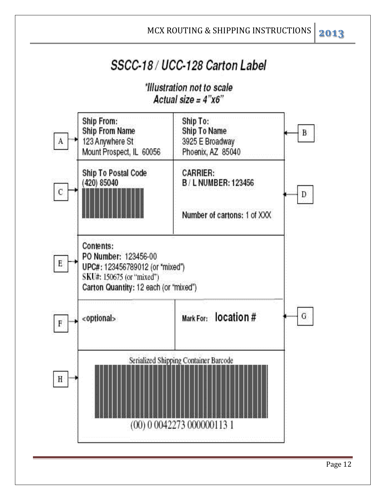# SSCC-18 / UCC-128 Carton Label

### \*Illustration not to scale Actual size =  $4"x6"$



Page 12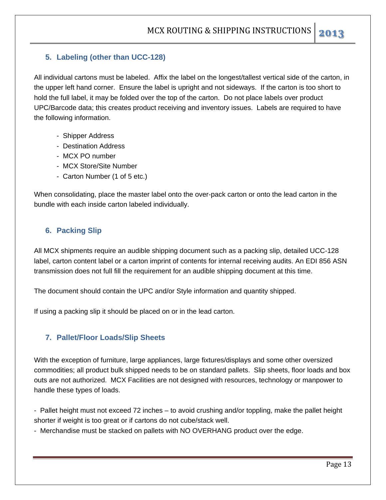#### **5. Labeling (other than UCC-128)**

All individual cartons must be labeled. Affix the label on the longest/tallest vertical side of the carton, in the upper left hand corner. Ensure the label is upright and not sideways. If the carton is too short to hold the full label, it may be folded over the top of the carton. Do not place labels over product UPC/Barcode data; this creates product receiving and inventory issues. Labels are required to have the following information.

- Shipper Address
- Destination Address
- MCX PO number
- MCX Store/Site Number
- Carton Number (1 of 5 etc.)

When consolidating, place the master label onto the over-pack carton or onto the lead carton in the bundle with each inside carton labeled individually.

#### **6. Packing Slip**

All MCX shipments require an audible shipping document such as a packing slip, detailed UCC-128 label, carton content label or a carton imprint of contents for internal receiving audits. An EDI 856 ASN transmission does not full fill the requirement for an audible shipping document at this time.

The document should contain the UPC and/or Style information and quantity shipped.

If using a packing slip it should be placed on or in the lead carton.

#### **7. Pallet/Floor Loads/Slip Sheets**

With the exception of furniture, large appliances, large fixtures/displays and some other oversized commodities; all product bulk shipped needs to be on standard pallets. Slip sheets, floor loads and box outs are not authorized. MCX Facilities are not designed with resources, technology or manpower to handle these types of loads.

- Pallet height must not exceed 72 inches – to avoid crushing and/or toppling, make the pallet height shorter if weight is too great or if cartons do not cube/stack well.

- Merchandise must be stacked on pallets with NO OVERHANG product over the edge.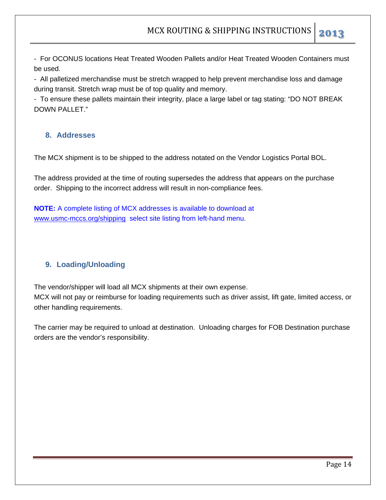- For OCONUS locations Heat Treated Wooden Pallets and/or Heat Treated Wooden Containers must be used.

- All palletized merchandise must be stretch wrapped to help prevent merchandise loss and damage during transit. Stretch wrap must be of top quality and memory.

- To ensure these pallets maintain their integrity, place a large label or tag stating: "DO NOT BREAK DOWN PALLET."

#### **8. Addresses**

The MCX shipment is to be shipped to the address notated on the Vendor Logistics Portal BOL.

The address provided at the time of routing supersedes the address that appears on the purchase order. Shipping to the incorrect address will result in non-compliance fees.

**NOTE:** A complete listing of MCX addresses is available to download at www.usmc-mccs.org/shipping select site listing from left-hand menu.

#### **9. Loading/Unloading**

The vendor/shipper will load all MCX shipments at their own expense. MCX will not pay or reimburse for loading requirements such as driver assist, lift gate, limited access, or other handling requirements.

The carrier may be required to unload at destination. Unloading charges for FOB Destination purchase orders are the vendor's responsibility.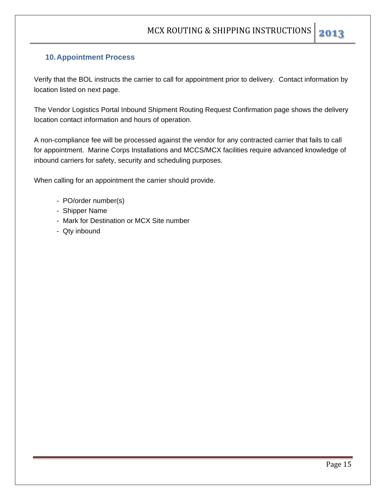#### **10. Appointment Process**

Verify that the BOL instructs the carrier to call for appointment prior to delivery. Contact information by location listed on next page.

The Vendor Logistics Portal Inbound Shipment Routing Request Confirmation page shows the delivery location contact information and hours of operation.

A non-compliance fee will be processed against the vendor for any contracted carrier that fails to call for appointment. Marine Corps Installations and MCCS/MCX facilities require advanced knowledge of inbound carriers for safety, security and scheduling purposes.

When calling for an appointment the carrier should provide.

- PO/order number(s)
- Shipper Name
- Mark for Destination or MCX Site number
- Qty inbound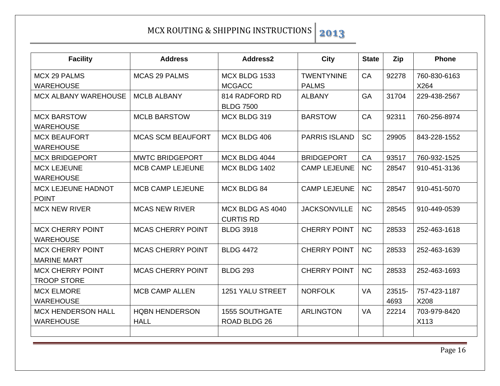| <b>Facility</b>                               | <b>Address</b>                       | Address2                              | <b>City</b>          | <b>State</b> | Zip            | <b>Phone</b>         |
|-----------------------------------------------|--------------------------------------|---------------------------------------|----------------------|--------------|----------------|----------------------|
| <b>MCX 29 PALMS</b>                           | <b>MCAS 29 PALMS</b>                 | MCX BLDG 1533                         | <b>TWENTYNINE</b>    | CA           | 92278          | 760-830-6163         |
| <b>WAREHOUSE</b>                              |                                      | <b>MCGACC</b>                         | <b>PALMS</b>         |              |                | X264                 |
| <b>MCX ALBANY WAREHOUSE</b>                   | <b>MCLB ALBANY</b>                   | 814 RADFORD RD<br><b>BLDG 7500</b>    | <b>ALBANY</b>        | <b>GA</b>    | 31704          | 229-438-2567         |
| <b>MCX BARSTOW</b><br><b>WAREHOUSE</b>        | <b>MCLB BARSTOW</b>                  | MCX BLDG 319                          | <b>BARSTOW</b>       | <b>CA</b>    | 92311          | 760-256-8974         |
| <b>MCX BEAUFORT</b><br><b>WAREHOUSE</b>       | <b>MCAS SCM BEAUFORT</b>             | MCX BLDG 406                          | <b>PARRIS ISLAND</b> | <b>SC</b>    | 29905          | 843-228-1552         |
| <b>MCX BRIDGEPORT</b>                         | <b>MWTC BRIDGEPORT</b>               | MCX BLDG 4044                         | <b>BRIDGEPORT</b>    | CA           | 93517          | 760-932-1525         |
| <b>MCX LEJEUNE</b><br><b>WAREHOUSE</b>        | <b>MCB CAMP LEJEUNE</b>              | MCX BLDG 1402                         | <b>CAMP LEJEUNE</b>  | <b>NC</b>    | 28547          | 910-451-3136         |
| <b>MCX LEJEUNE HADNOT</b><br><b>POINT</b>     | <b>MCB CAMP LEJEUNE</b>              | <b>MCX BLDG 84</b>                    | <b>CAMP LEJEUNE</b>  | NC           | 28547          | 910-451-5070         |
| <b>MCX NEW RIVER</b>                          | <b>MCAS NEW RIVER</b>                | MCX BLDG AS 4040<br><b>CURTIS RD</b>  | <b>JACKSONVILLE</b>  | NC           | 28545          | 910-449-0539         |
| <b>MCX CHERRY POINT</b><br><b>WAREHOUSE</b>   | <b>MCAS CHERRY POINT</b>             | <b>BLDG 3918</b>                      | <b>CHERRY POINT</b>  | <b>NC</b>    | 28533          | 252-463-1618         |
| <b>MCX CHERRY POINT</b><br><b>MARINE MART</b> | <b>MCAS CHERRY POINT</b>             | <b>BLDG 4472</b>                      | <b>CHERRY POINT</b>  | <b>NC</b>    | 28533          | 252-463-1639         |
| <b>MCX CHERRY POINT</b><br><b>TROOP STORE</b> | <b>MCAS CHERRY POINT</b>             | <b>BLDG 293</b>                       | <b>CHERRY POINT</b>  | <b>NC</b>    | 28533          | 252-463-1693         |
| <b>MCX ELMORE</b><br><b>WAREHOUSE</b>         | <b>MCB CAMP ALLEN</b>                | <b>1251 YALU STREET</b>               | <b>NORFOLK</b>       | <b>VA</b>    | 23515-<br>4693 | 757-423-1187<br>X208 |
| <b>MCX HENDERSON HALL</b><br><b>WAREHOUSE</b> | <b>HQBN HENDERSON</b><br><b>HALL</b> | <b>1555 SOUTHGATE</b><br>ROAD BLDG 26 | <b>ARLINGTON</b>     | <b>VA</b>    | 22214          | 703-979-8420<br>X113 |
|                                               |                                      |                                       |                      |              |                |                      |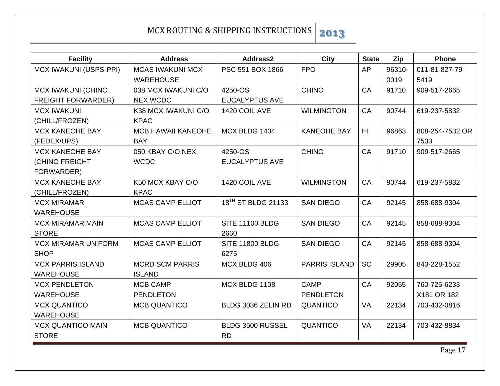| <b>Facility</b>               | <b>Address</b>            | Address2                       | City                 | <b>State</b> | Zip    | <b>Phone</b>    |
|-------------------------------|---------------------------|--------------------------------|----------------------|--------------|--------|-----------------|
| <b>MCX IWAKUNI (USPS-PPI)</b> | <b>MCAS IWAKUNI MCX</b>   | PSC 551 BOX 1866               | <b>FPO</b>           | <b>AP</b>    | 96310- | 011-81-827-79-  |
| <b>WAREHOUSE</b>              |                           |                                |                      |              | 0019   | 5419            |
| <b>MCX IWAKUNI (CHINO</b>     | 038 MCX IWAKUNI C/O       | 4250-OS                        | <b>CHINO</b>         | CA           | 91710  | 909-517-2665    |
| <b>FREIGHT FORWARDER)</b>     | <b>NEX WCDC</b>           | <b>EUCALYPTUS AVE</b>          |                      |              |        |                 |
| <b>MCX IWAKUNI</b>            | K38 MCX IWAKUNI C/O       | 1420 COIL AVE                  | <b>WILMINGTON</b>    | CA           | 90744  | 619-237-5832    |
| (CHILL/FROZEN)                | <b>KPAC</b>               |                                |                      |              |        |                 |
| <b>MCX KANEOHE BAY</b>        | <b>MCB HAWAII KANEOHE</b> | MCX BLDG 1404                  | <b>KANEOHE BAY</b>   | HI.          | 96863  | 808-254-7532 OR |
| (FEDEX/UPS)                   | <b>BAY</b>                |                                |                      |              |        | 7533            |
| <b>MCX KANEOHE BAY</b>        | 050 KBAY C/O NEX          | 4250-OS                        | <b>CHINO</b>         | CA           | 91710  | 909-517-2665    |
| (CHINO FREIGHT                | <b>WCDC</b>               | <b>EUCALYPTUS AVE</b>          |                      |              |        |                 |
| FORWARDER)                    |                           |                                |                      |              |        |                 |
| <b>MCX KANEOHE BAY</b>        | K50 MCX KBAY C/O          | 1420 COIL AVE                  | <b>WILMINGTON</b>    | CA           | 90744  | 619-237-5832    |
| (CHILL/FROZEN)                | <b>KPAC</b>               |                                |                      |              |        |                 |
| <b>MCX MIRAMAR</b>            | <b>MCAS CAMP ELLIOT</b>   | 18 <sup>TH</sup> ST BLDG 21133 | <b>SAN DIEGO</b>     | <b>CA</b>    | 92145  | 858-688-9304    |
| <b>WAREHOUSE</b>              |                           |                                |                      |              |        |                 |
| <b>MCX MIRAMAR MAIN</b>       | <b>MCAS CAMP ELLIOT</b>   | <b>SITE 11100 BLDG</b>         | <b>SAN DIEGO</b>     | CA           | 92145  | 858-688-9304    |
| <b>STORE</b>                  |                           | 2660                           |                      |              |        |                 |
| <b>MCX MIRAMAR UNIFORM</b>    | <b>MCAS CAMP ELLIOT</b>   | <b>SITE 11800 BLDG</b>         | <b>SAN DIEGO</b>     | CA           | 92145  | 858-688-9304    |
| <b>SHOP</b>                   |                           | 6275                           |                      |              |        |                 |
| <b>MCX PARRIS ISLAND</b>      | <b>MCRD SCM PARRIS</b>    | MCX BLDG 406                   | <b>PARRIS ISLAND</b> | <b>SC</b>    | 29905  | 843-228-1552    |
| <b>WAREHOUSE</b>              | <b>ISLAND</b>             |                                |                      |              |        |                 |
| <b>MCX PENDLETON</b>          | <b>MCB CAMP</b>           | MCX BLDG 1108                  | <b>CAMP</b>          | <b>CA</b>    | 92055  | 760-725-6233    |
| <b>WAREHOUSE</b>              | <b>PENDLETON</b>          |                                | <b>PENDLETON</b>     |              |        | X181 OR 182     |
| <b>MCX QUANTICO</b>           | <b>MCB QUANTICO</b>       | BLDG 3036 ZELIN RD             | <b>QUANTICO</b>      | VA           | 22134  | 703-432-0816    |
| <b>WAREHOUSE</b>              |                           |                                |                      |              |        |                 |
| <b>MCX QUANTICO MAIN</b>      | <b>MCB QUANTICO</b>       | BLDG 3500 RUSSEL               | <b>QUANTICO</b>      | VA           | 22134  | 703-432-8834    |
| <b>STORE</b>                  |                           | <b>RD</b>                      |                      |              |        |                 |

Page 17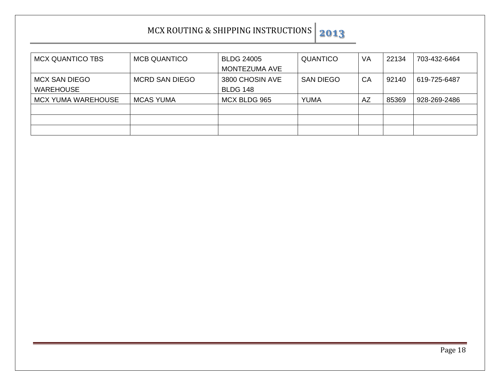| <b>MCX QUANTICO TBS</b>   | <b>MCB QUANTICO</b>   | <b>BLDG 24005</b>    | <b>QUANTICO</b>  | VA | 22134 | 703-432-6464 |
|---------------------------|-----------------------|----------------------|------------------|----|-------|--------------|
|                           |                       | <b>MONTEZUMA AVE</b> |                  |    |       |              |
| <b>MCX SAN DIEGO</b>      | <b>MCRD SAN DIEGO</b> | 3800 CHOSIN AVE      | <b>SAN DIEGO</b> | CA | 92140 | 619-725-6487 |
| <b>WAREHOUSE</b>          |                       | <b>BLDG 148</b>      |                  |    |       |              |
| <b>MCX YUMA WAREHOUSE</b> | <b>MCAS YUMA</b>      | MCX BLDG 965         | <b>YUMA</b>      | AZ | 85369 | 928-269-2486 |
|                           |                       |                      |                  |    |       |              |
|                           |                       |                      |                  |    |       |              |
|                           |                       |                      |                  |    |       |              |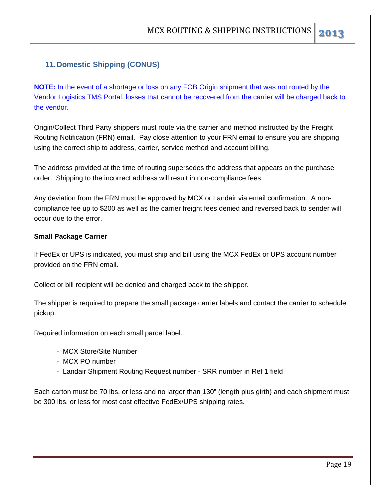#### **11. Domestic Shipping (CONUS)**

**NOTE:** In the event of a shortage or loss on any FOB Origin shipment that was not routed by the Vendor Logistics TMS Portal, losses that cannot be recovered from the carrier will be charged back to the vendor.

Origin/Collect Third Party shippers must route via the carrier and method instructed by the Freight Routing Notification (FRN) email. Pay close attention to your FRN email to ensure you are shipping using the correct ship to address, carrier, service method and account billing.

The address provided at the time of routing supersedes the address that appears on the purchase order. Shipping to the incorrect address will result in non-compliance fees.

Any deviation from the FRN must be approved by MCX or Landair via email confirmation. A noncompliance fee up to \$200 as well as the carrier freight fees denied and reversed back to sender will occur due to the error.

#### **Small Package Carrier**

If FedEx or UPS is indicated, you must ship and bill using the MCX FedEx or UPS account number provided on the FRN email.

Collect or bill recipient will be denied and charged back to the shipper.

The shipper is required to prepare the small package carrier labels and contact the carrier to schedule pickup.

Required information on each small parcel label.

- MCX Store/Site Number
- MCX PO number
- Landair Shipment Routing Request number SRR number in Ref 1 field

Each carton must be 70 lbs. or less and no larger than 130" (length plus girth) and each shipment must be 300 lbs. or less for most cost effective FedEx/UPS shipping rates.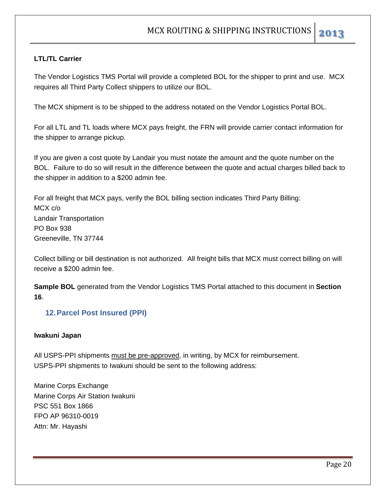#### **LTL/TL Carrier**

The Vendor Logistics TMS Portal will provide a completed BOL for the shipper to print and use. MCX requires all Third Party Collect shippers to utilize our BOL.

The MCX shipment is to be shipped to the address notated on the Vendor Logistics Portal BOL.

For all LTL and TL loads where MCX pays freight, the FRN will provide carrier contact information for the shipper to arrange pickup.

If you are given a cost quote by Landair you must notate the amount and the quote number on the BOL. Failure to do so will result in the difference between the quote and actual charges billed back to the shipper in addition to a \$200 admin fee.

For all freight that MCX pays, verify the BOL billing section indicates Third Party Billing: MCX c/o Landair Transportation PO Box 938 Greeneville, TN 37744

Collect billing or bill destination is not authorized. All freight bills that MCX must correct billing on will receive a \$200 admin fee.

**Sample BOL** generated from the Vendor Logistics TMS Portal attached to this document in **Section 16**.

#### **12. Parcel Post Insured (PPI)**

#### **Iwakuni Japan**

All USPS-PPI shipments must be pre-approved, in writing, by MCX for reimbursement. USPS-PPI shipments to Iwakuni should be sent to the following address:

Marine Corps Exchange Marine Corps Air Station Iwakuni PSC 551 Box 1866 FPO AP 96310-0019 Attn: Mr. Hayashi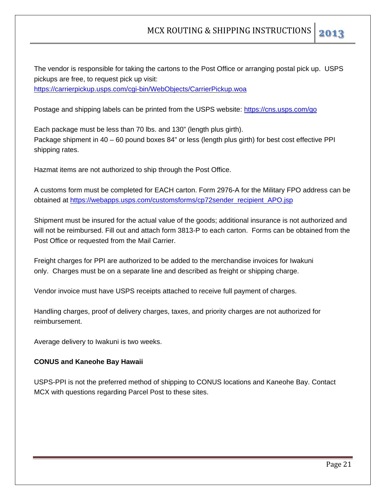The vendor is responsible for taking the cartons to the Post Office or arranging postal pick up. USPS pickups are free, to request pick up visit: https://carrierpickup.usps.com/cgi-bin/WebObjects/CarrierPickup.woa

Postage and shipping labels can be printed from the USPS website: https://cns.usps.com/go

Each package must be less than 70 lbs. and 130" (length plus girth). Package shipment in 40 – 60 pound boxes 84" or less (length plus girth) for best cost effective PPI shipping rates.

Hazmat items are not authorized to ship through the Post Office.

A customs form must be completed for EACH carton. Form 2976-A for the Military FPO address can be obtained at https://webapps.usps.com/customsforms/cp72sender\_recipient\_APO.jsp

Shipment must be insured for the actual value of the goods; additional insurance is not authorized and will not be reimbursed. Fill out and attach form 3813-P to each carton. Forms can be obtained from the Post Office or requested from the Mail Carrier.

Freight charges for PPI are authorized to be added to the merchandise invoices for Iwakuni only. Charges must be on a separate line and described as freight or shipping charge.

Vendor invoice must have USPS receipts attached to receive full payment of charges.

Handling charges, proof of delivery charges, taxes, and priority charges are not authorized for reimbursement.

Average delivery to Iwakuni is two weeks.

#### **CONUS and Kaneohe Bay Hawaii**

USPS-PPI is not the preferred method of shipping to CONUS locations and Kaneohe Bay. Contact MCX with questions regarding Parcel Post to these sites.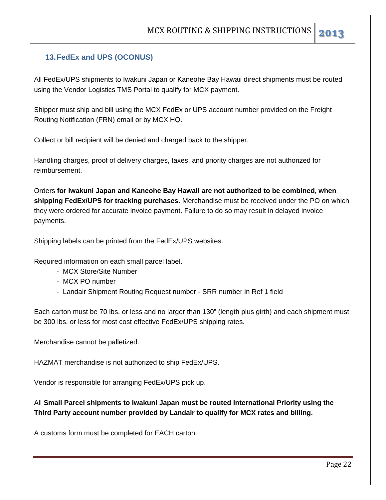#### **13. FedEx and UPS (OCONUS)**

All FedEx/UPS shipments to Iwakuni Japan or Kaneohe Bay Hawaii direct shipments must be routed using the Vendor Logistics TMS Portal to qualify for MCX payment.

Shipper must ship and bill using the MCX FedEx or UPS account number provided on the Freight Routing Notification (FRN) email or by MCX HQ.

Collect or bill recipient will be denied and charged back to the shipper.

Handling charges, proof of delivery charges, taxes, and priority charges are not authorized for reimbursement.

Orders **for Iwakuni Japan and Kaneohe Bay Hawaii are not authorized to be combined, when shipping FedEx/UPS for tracking purchases**. Merchandise must be received under the PO on which they were ordered for accurate invoice payment. Failure to do so may result in delayed invoice payments.

Shipping labels can be printed from the FedEx/UPS websites.

Required information on each small parcel label.

- MCX Store/Site Number
- MCX PO number
- Landair Shipment Routing Request number SRR number in Ref 1 field

Each carton must be 70 lbs. or less and no larger than 130" (length plus girth) and each shipment must be 300 lbs. or less for most cost effective FedEx/UPS shipping rates.

Merchandise cannot be palletized.

HAZMAT merchandise is not authorized to ship FedEx/UPS.

Vendor is responsible for arranging FedEx/UPS pick up.

All **Small Parcel shipments to Iwakuni Japan must be routed International Priority using the Third Party account number provided by Landair to qualify for MCX rates and billing.** 

A customs form must be completed for EACH carton.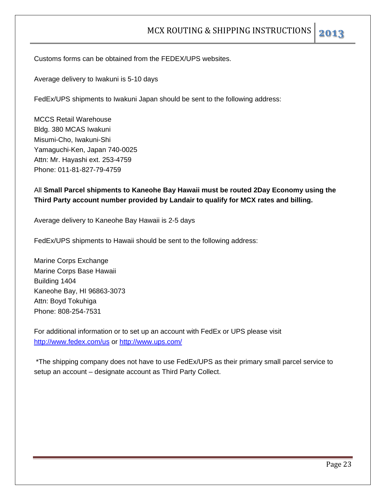Customs forms can be obtained from the FEDEX/UPS websites.

Average delivery to Iwakuni is 5-10 days

FedEx/UPS shipments to Iwakuni Japan should be sent to the following address:

MCCS Retail Warehouse Bldg. 380 MCAS Iwakuni Misumi-Cho, Iwakuni-Shi Yamaguchi-Ken, Japan 740-0025 Attn: Mr. Hayashi ext. 253-4759 Phone: 011-81-827-79-4759

#### All **Small Parcel shipments to Kaneohe Bay Hawaii must be routed 2Day Economy using the Third Party account number provided by Landair to qualify for MCX rates and billing.**

Average delivery to Kaneohe Bay Hawaii is 2-5 days

FedEx/UPS shipments to Hawaii should be sent to the following address:

Marine Corps Exchange Marine Corps Base Hawaii Building 1404 Kaneohe Bay, HI 96863-3073 Attn: Boyd Tokuhiga Phone: 808-254-7531

For additional information or to set up an account with FedEx or UPS please visit http://www.fedex.com/us or http://www.ups.com/

 \*The shipping company does not have to use FedEx/UPS as their primary small parcel service to setup an account – designate account as Third Party Collect.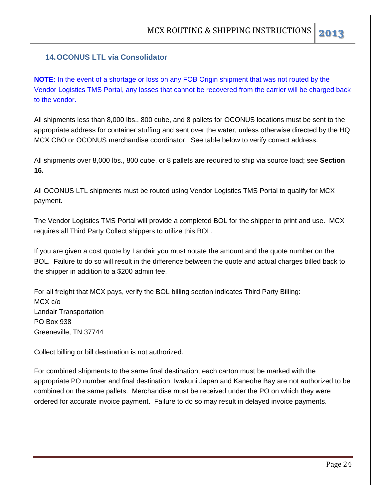#### **14. OCONUS LTL via Consolidator**

**NOTE:** In the event of a shortage or loss on any FOB Origin shipment that was not routed by the Vendor Logistics TMS Portal, any losses that cannot be recovered from the carrier will be charged back to the vendor.

All shipments less than 8,000 lbs., 800 cube, and 8 pallets for OCONUS locations must be sent to the appropriate address for container stuffing and sent over the water, unless otherwise directed by the HQ MCX CBO or OCONUS merchandise coordinator. See table below to verify correct address.

All shipments over 8,000 lbs., 800 cube, or 8 pallets are required to ship via source load; see **Section 16.** 

All OCONUS LTL shipments must be routed using Vendor Logistics TMS Portal to qualify for MCX payment.

The Vendor Logistics TMS Portal will provide a completed BOL for the shipper to print and use. MCX requires all Third Party Collect shippers to utilize this BOL.

If you are given a cost quote by Landair you must notate the amount and the quote number on the BOL. Failure to do so will result in the difference between the quote and actual charges billed back to the shipper in addition to a \$200 admin fee.

For all freight that MCX pays, verify the BOL billing section indicates Third Party Billing: MCX c/o Landair Transportation PO Box 938 Greeneville, TN 37744

Collect billing or bill destination is not authorized.

For combined shipments to the same final destination, each carton must be marked with the appropriate PO number and final destination. Iwakuni Japan and Kaneohe Bay are not authorized to be combined on the same pallets. Merchandise must be received under the PO on which they were ordered for accurate invoice payment. Failure to do so may result in delayed invoice payments.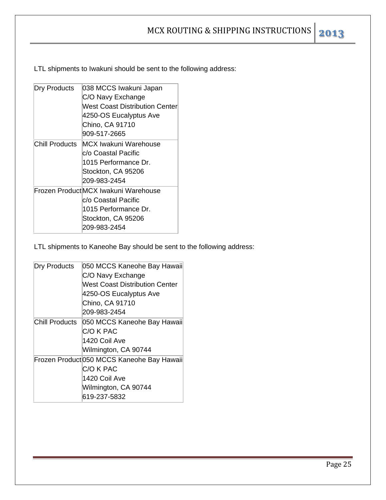LTL shipments to Iwakuni should be sent to the following address:

| Dry Products   | 038 MCCS Iwakuni Japan              |
|----------------|-------------------------------------|
|                | C/O Navy Exchange                   |
|                | West Coast Distribution Centerl     |
|                | 4250-OS Eucalyptus Ave              |
|                | Chino, CA 91710                     |
|                | 909-517-2665                        |
| Chill Products | MCX Iwakuni Warehouse               |
|                | lc/o Coastal Pacific                |
|                | 1015 Performance Dr.                |
|                | Stockton, CA 95206                  |
|                | 209-983-2454                        |
|                | Frozen ProductMCX Iwakuni Warehouse |
|                | lc/o Coastal Pacific                |
|                | 1015 Performance Dr.                |
|                | Stockton, CA 95206                  |
|                | 209-983-2454                        |
|                |                                     |

LTL shipments to Kaneohe Bay should be sent to the following address:

| Dry Products   | 050 MCCS Kaneohe Bay Hawaii                |
|----------------|--------------------------------------------|
|                | C/O Navy Exchange                          |
|                | West Coast Distribution Center             |
|                | 4250-OS Eucalyptus Ave                     |
|                | Chino, CA 91710                            |
|                | 209-983-2454                               |
| Chill Products | 050 MCCS Kaneohe Bay Hawaii                |
|                | C/O K PAC                                  |
|                | 1420 Coil Ave                              |
|                | Wilmington, CA 90744                       |
|                | Frozen Product 050 MCCS Kaneohe Bay Hawaii |
|                | C/O K PAC                                  |
|                | 1420 Coil Ave                              |
|                | Wilmington, CA 90744                       |
|                | 619-237-5832                               |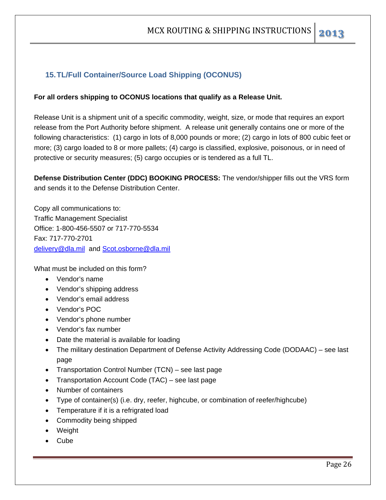#### **15. TL/Full Container/Source Load Shipping (OCONUS)**

#### **For all orders shipping to OCONUS locations that qualify as a Release Unit.**

Release Unit is a shipment unit of a specific commodity, weight, size, or mode that requires an export release from the Port Authority before shipment. A release unit generally contains one or more of the following characteristics: (1) cargo in lots of 8,000 pounds or more; (2) cargo in lots of 800 cubic feet or more; (3) cargo loaded to 8 or more pallets; (4) cargo is classified, explosive, poisonous, or in need of protective or security measures; (5) cargo occupies or is tendered as a full TL.

**Defense Distribution Center (DDC) BOOKING PROCESS:** The vendor/shipper fills out the VRS form and sends it to the Defense Distribution Center.

Copy all communications to: Traffic Management Specialist Office: 1-800-456-5507 or 717-770-5534 Fax: 717-770-2701 delivery@dla.mil and Scot.osborne@dla.mil

What must be included on this form?

- Vendor's name
- Vendor's shipping address
- Vendor's email address
- Vendor's POC
- Vendor's phone number
- Vendor's fax number
- Date the material is available for loading
- The military destination Department of Defense Activity Addressing Code (DODAAC) see last page
- Transportation Control Number (TCN) see last page
- Transportation Account Code (TAC) see last page
- Number of containers
- Type of container(s) (i.e. dry, reefer, highcube, or combination of reefer/highcube)
- Temperature if it is a refrigrated load
- Commodity being shipped
- Weight
- Cube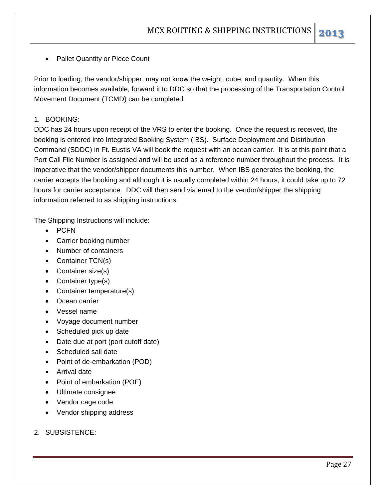• Pallet Quantity or Piece Count

Prior to loading, the vendor/shipper, may not know the weight, cube, and quantity. When this information becomes available, forward it to DDC so that the processing of the Transportation Control Movement Document (TCMD) can be completed.

#### 1. BOOKING:

DDC has 24 hours upon receipt of the VRS to enter the booking. Once the request is received, the booking is entered into Integrated Booking System (IBS). Surface Deployment and Distribution Command (SDDC) in Ft. Eustis VA will book the request with an ocean carrier. It is at this point that a Port Call File Number is assigned and will be used as a reference number throughout the process. It is imperative that the vendor/shipper documents this number. When IBS generates the booking, the carrier accepts the booking and although it is usually completed within 24 hours, it could take up to 72 hours for carrier acceptance. DDC will then send via email to the vendor/shipper the shipping information referred to as shipping instructions.

The Shipping Instructions will include:

- $\bullet$  PCFN
- Carrier booking number
- Number of containers
- Container TCN(s)
- Container size(s)
- Container type(s)
- Container temperature(s)
- Ocean carrier
- Vessel name
- Voyage document number
- Scheduled pick up date
- Date due at port (port cutoff date)
- Scheduled sail date
- Point of de-embarkation (POD)
- Arrival date
- Point of embarkation (POE)
- Ultimate consignee
- Vendor cage code
- Vendor shipping address
- 2. SUBSISTENCE: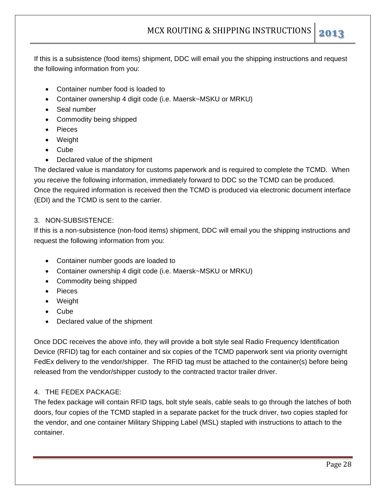If this is a subsistence (food items) shipment, DDC will email you the shipping instructions and request the following information from you:

- Container number food is loaded to
- Container ownership 4 digit code (i.e. Maersk~MSKU or MRKU)
- Seal number
- Commodity being shipped
- Pieces
- Weight
- Cube
- Declared value of the shipment

The declared value is mandatory for customs paperwork and is required to complete the TCMD. When you receive the following information, immediately forward to DDC so the TCMD can be produced. Once the required information is received then the TCMD is produced via electronic document interface (EDI) and the TCMD is sent to the carrier.

#### 3. NON-SUBSISTENCE:

If this is a non-subsistence (non-food items) shipment, DDC will email you the shipping instructions and request the following information from you:

- Container number goods are loaded to
- Container ownership 4 digit code (i.e. Maersk~MSKU or MRKU)
- Commodity being shipped
- Pieces
- Weight
- Cube
- Declared value of the shipment

Once DDC receives the above info, they will provide a bolt style seal Radio Frequency Identification Device (RFID) tag for each container and six copies of the TCMD paperwork sent via priority overnight FedEx delivery to the vendor/shipper. The RFID tag must be attached to the container(s) before being released from the vendor/shipper custody to the contracted tractor trailer driver.

#### 4. THE FEDEX PACKAGE:

The fedex package will contain RFID tags, bolt style seals, cable seals to go through the latches of both doors, four copies of the TCMD stapled in a separate packet for the truck driver, two copies stapled for the vendor, and one container Military Shipping Label (MSL) stapled with instructions to attach to the container.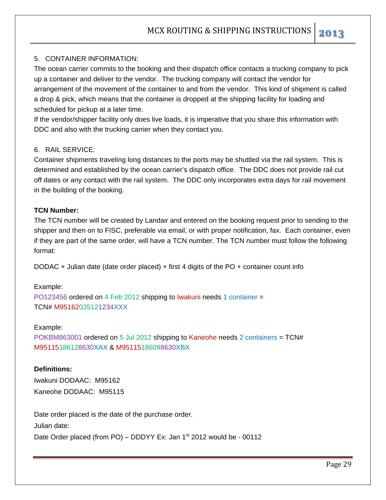#### 5. CONTAINER INFORMATION:

The ocean carrier commits to the booking and their dispatch office contacts a trucking company to pick up a container and deliver to the vendor. The trucking company will contact the vendor for arrangement of the movement of the container to and from the vendor. This kind of shipment is called a drop & pick, which means that the container is dropped at the shipping facility for loading and scheduled for pickup at a later time.

If the vendor/shipper facility only does live loads, it is imperative that you share this information with DDC and also with the trucking carrier when they contact you.

#### 6. RAIL SERVICE:

Container shipments traveling long distances to the ports may be shuttled via the rail system. This is determined and established by the ocean carrier's dispatch office. The DDC does not provide rail cut off dates or any contact with the rail system. The DDC only incorporates extra days for rail movement in the building of the booking.

#### **TCN Number:**

The TCN number will be created by Landair and entered on the booking request prior to sending to the shipper and then on to FISC, preferable via email, or with proper notification, fax. Each container, even if they are part of the same order, will have a TCN number. The TCN number must follow the following format:

DODAC + Julian date (date order placed) + first 4 digits of the PO + container count info

#### Example:

PO123456 ordered on 4 Feb 2012 shipping to Iwakuni needs 1 container = TCN# M95162035121234XXX

#### Example:

POKBM863001 ordered on 5 Jul 2012 shipping to Kaneohe needs 2 containers = TCN# M95115186128630XAX & M95115186098630XBX

#### **Definitions:**

Iwakuni DODAAC: M95162 Kaneohe DODAAC: M95115

Date order placed is the date of the purchase order. Julian date: Date Order placed (from PO) – DDDYY Ex: Jan  $1<sup>st</sup>$  2012 would be - 00112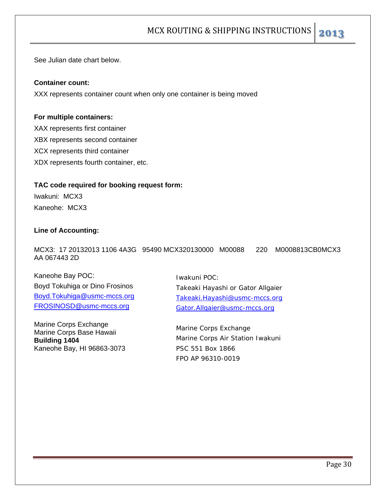See Julian date chart below.

#### **Container count:**

XXX represents container count when only one container is being moved

#### **For multiple containers:**

XAX represents first container XBX represents second container XCX represents third container XDX represents fourth container, etc.

#### **TAC code required for booking request form:**

Iwakuni: MCX3 Kaneohe: MCX3

#### **Line of Accounting:**

MCX3: 17 20132013 1106 4A3G 95490 MCX320130000 M00088 220 M0008813CB0MCX3 AA 067443 2D

Kaneohe Bay POC: Boyd Tokuhiga or Dino Frosinos Boyd.Tokuhiga@usmc-mccs.org FROSINOSD@usmc-mccs.org

Marine Corps Exchange Marine Corps Base Hawaii **Building 1404**  Kaneohe Bay, HI 96863-3073

Iwakuni POC: Takeaki Hayashi or Gator Allgaier Takeaki.Hayashi@usmc-mccs.org Gator.Allgaier@usmc-mccs.org

Marine Corps Exchange Marine Corps Air Station Iwakuni PSC 551 Box 1866 FPO AP 96310-0019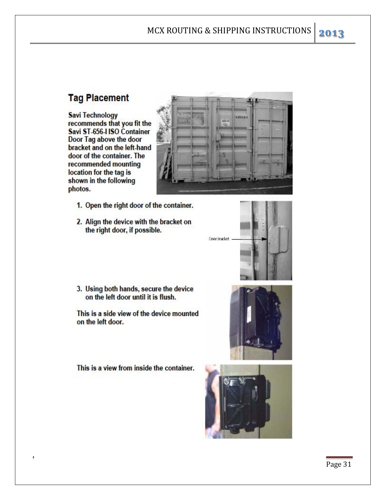#### **Tag Placement**

**Savi Technology** recommends that you fit the Savi ST-656-I ISO Container Door Tag above the door bracket and on the left-hand door of the container. The recommended mounting location for the tag is shown in the following photos.

- 1. Open the right door of the container.
- 2. Align the device with the bracket on the right door, if possible.

3. Using both hands, secure the device on the left door until it is flush.

This is a side view of the device mounted on the left door.

This is a view from inside the container.

 $\blacksquare$ 







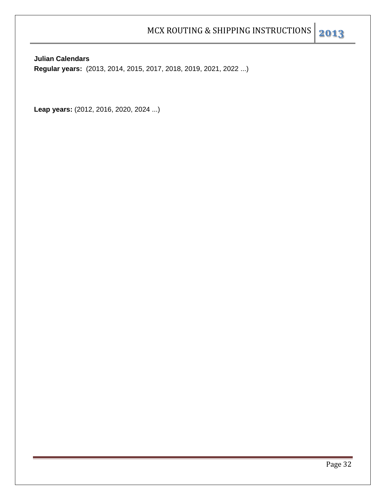**Julian Calendars** 

**Regular years:** (2013, 2014, 2015, 2017, 2018, 2019, 2021, 2022 ...)

Leap years: (2012, 2016, 2020, 2024 ...)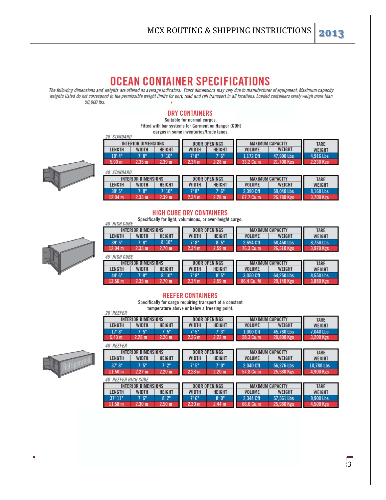The following dimensions and weights are offered as average indicators. Exact dimensions may vary due to manufacturer of equipment. Maximum capacity weights listed do not correspond to the permissible weight limits for port, road and rail transport in all locations. Loaded containers rarely weigh more than 50,000 lbs.

#### **DRY CONTAINERS**

Suitable for normal cargos. Fitted with bar systems for Garment on Hanger (GOH) cargos in some inventories/trade lanes.

| <i><b>20' STANDARD</b></i> |                            | <u>Cargos III sunto inventuries/traue lanes.</u> |              |                      |               |                         |             |
|----------------------------|----------------------------|--------------------------------------------------|--------------|----------------------|---------------|-------------------------|-------------|
|                            | <b>INTERIOR DIMENSIONS</b> |                                                  |              | <b>DOOR OPENINGS</b> |               | <b>MAXIMUM CAPACITY</b> | <b>TARE</b> |
| LENGTH                     | WIDTH                      | <b>HEIGHT</b>                                    | <b>WIDTH</b> | <b>HEIGHT</b>        | <b>VOLUME</b> | WEIGHT                  | WEIGHT      |
| 19'4"                      | 7' 8"                      | 7' 10"                                           | 7'8"         | 7' 6"                | 1.172 Cft     | 47.900 Lbs              | 4.916 Lbs   |
| 5.90 <sub>m</sub>          | 2.35 m                     | 2.39 m                                           | $234$ m      | 2.28 m               | 33.2 Cu.m     | 21,700 Kgs              | 2.230 Kgs   |



 $ADI$  CTANDADD

| 40 SIANUAKU<br>INTERIOR DIMENSIONS |                  |               |       | <b>DOOR OPENINGS</b> |                    | <b>MAXIMUM CAPACITY</b> | <b>TARE</b>   |
|------------------------------------|------------------|---------------|-------|----------------------|--------------------|-------------------------|---------------|
| LENGTH                             | WIDTH            | <b>HEIGHT</b> | WIDTH | <b>HEIGHT</b>        | <b>VOLUME</b>      | WEIGHT                  | <b>WEIGHT</b> |
| 39' 5"                             | 7' 8"            | " 10"         | 7' 8" | 7' 6"                | 2.390 Cft          | 59,040 Lbs              | 8.160 Lbs     |
| 2.04 m                             | $2.35 \text{ m}$ | .39 m         | 34 m  | $2.28 \text{ m}$     | <sup>7</sup> Cu.m. | 26,780 Kgs              | 700 Kgs       |

#### **HIGH CUBE DRY CONTAINERS**

Specifically for light, voluminous, or over-height cargo. **40' HIGH CUBE** 



| <b>INTERIOR DIMENSIONS</b> |                            |                   |              | <b>DOOR OPENINGS</b> | <b>MAXIMUM CAPACITY</b> | <b>TARE</b>             |                          |  |
|----------------------------|----------------------------|-------------------|--------------|----------------------|-------------------------|-------------------------|--------------------------|--|
| <b>LENGTH</b>              | <b>WIDTH</b>               | <b>HEIGHT</b>     | <b>WIDTH</b> | <b>HEIGHT</b>        | <b>VOLUME</b>           | WEIGHT                  | <b>WEIGHT</b>            |  |
| 39' 5"                     | 7'8"                       | 8'10"             | 7'8''        | 8'5"                 | 2.694 Cft               | 58,450 Lbs              | 8,750 Lbs                |  |
| 12.04 m                    | 2.35 m                     | 2.70 <sub>m</sub> | 2.34 m       | 2.59 <sub>m</sub>    | 76.3 Cu.m.              | 26,510 Kgs              | 3,970 Kgs                |  |
| <b>45' HIGH CUBE</b>       |                            |                   |              |                      |                         |                         |                          |  |
|                            | <b>INTERIOR DIMENSIONS</b> |                   |              | <b>DOOR OPENINGS</b> |                         | <b>MAXIMUM CAPACITY</b> | <b>TARE</b>              |  |
| <b>LENGTH</b>              | <b>WIDTH</b>               | <b>HEIGHT</b>     | <b>WIDTH</b> | <b>HEIGHT</b>        | <b>VOLUME</b>           | WEIGHT                  | <b>WEIGHT</b>            |  |
| 44' 6"                     | 7'8''                      | 8'10"             | 7' 8"        | 8'5"                 | 3.050 Cft               | 64,250 Lbs              | 8.550 Lbs                |  |
| 19E <sub>m</sub>           | $9.9E$ m                   | 270m              | 9.98 m       | 0.50 <sub>m</sub>    | <b>OCA C. M</b>         | <b>20.140 Km</b>        | $9.000$ $u_{\text{max}}$ |  |

#### **REEFER CONTAINERS**

Specifically for cargo requiring transport at a constant temperature above or below a freezing point.

| <b>20' REEFER</b> |                             |                   |                   | Temperature above of neight a freezing point. |                         |                         |               |  |  |
|-------------------|-----------------------------|-------------------|-------------------|-----------------------------------------------|-------------------------|-------------------------|---------------|--|--|
|                   | <b>INTERIOR DIMENSIONS</b>  |                   |                   | <b>DOOR OPENINGS</b>                          | <b>MAXIMUM CAPACITY</b> | <b>TARE</b>             |               |  |  |
| <b>LENGTH</b>     | <b>WIDTH</b>                | <b>HEIGHT</b>     | <b>WIDTH</b>      | <b>HEIGHT</b>                                 |                         | <b>WEIGHT</b>           | <b>WEIGHT</b> |  |  |
| 17'8''            | 7'5''                       | 7'5''             | 7'5''             | 7'3"                                          | 1.000 Cft               | 45.760 Lbs              | 7,040 Lbs     |  |  |
| 5.43 m            | 2.28 m                      | 2.26 m            | 2.26 <sub>m</sub> | 2.22 m                                        | 28.3 Cu.m               | 20,800 Kgs              | 3,200 Kgs     |  |  |
| <b>40' REEFER</b> |                             |                   |                   |                                               |                         |                         |               |  |  |
|                   | <b>INTERIOR DIMENSIONS</b>  |                   |                   | <b>DOOR OPENINGS</b>                          |                         | <b>MAXIMUM CAPACITY</b> |               |  |  |
| <b>LENGTH</b>     | <b>WIDTH</b>                | <b>HEIGHT</b>     | <b>WIDTH</b>      | <b>HEIGHT</b>                                 |                         | WEIGHT                  | <b>WEIGHT</b> |  |  |
| 37'8''            | 7'5''                       | 7'2''             | 7'5''             | 7'0''                                         | 2.040 Cft               | 56,276 Lbs              | 10.780 Lbs    |  |  |
| 11.50 m           | 2.27 m                      | 2.20 m            | 2.28 m            | 2.20 m                                        | 57.8 Cu.m               | 25,580 Kgs              | 4,900 Kgs     |  |  |
|                   | <b>40' REEFER HIGH CUBE</b> |                   |                   |                                               |                         |                         |               |  |  |
|                   | <b>INTERIOR DIMENSIONS</b>  |                   |                   | <b>DOOR OPENINGS</b>                          |                         | <b>MAXIMUM CAPACITY</b> | <b>TARE</b>   |  |  |
| <b>LENGTH</b>     | <b>WIDTH</b>                | <b>HEIGHT</b>     | <b>WIDTH</b>      | <b>HEIGHT</b>                                 | <b>VOLUME</b>           | WEIGHT                  | <b>WEIGHT</b> |  |  |
| 37'11"            | 7'6''                       | 8'2"              | 7'6''             | 8'0''                                         | 2.344 Cft               | 57,561 Lbs              | 9.900 Lbs     |  |  |
| 11.58 m           | 2.30 m                      | 2.50 <sub>m</sub> | 2.30 <sub>m</sub> | 2.44 m                                        | 66.6 Cu.m               | 25.980 Kgs              | 4,500 Kgs     |  |  |

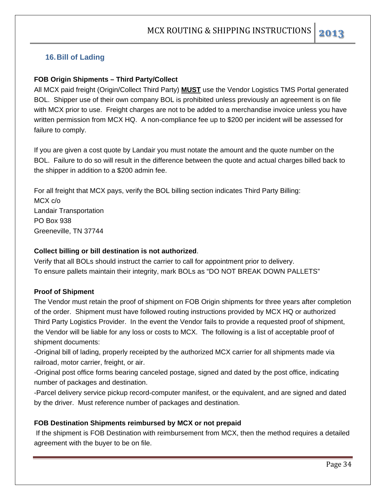#### **16. Bill of Lading**

#### **FOB Origin Shipments – Third Party/Collect**

All MCX paid freight (Origin/Collect Third Party) **MUST** use the Vendor Logistics TMS Portal generated BOL. Shipper use of their own company BOL is prohibited unless previously an agreement is on file with MCX prior to use. Freight charges are not to be added to a merchandise invoice unless you have written permission from MCX HQ. A non-compliance fee up to \$200 per incident will be assessed for failure to comply.

If you are given a cost quote by Landair you must notate the amount and the quote number on the BOL. Failure to do so will result in the difference between the quote and actual charges billed back to the shipper in addition to a \$200 admin fee.

For all freight that MCX pays, verify the BOL billing section indicates Third Party Billing: MCX c/o Landair Transportation PO Box 938 Greeneville, TN 37744

#### **Collect billing or bill destination is not authorized**.

Verify that all BOLs should instruct the carrier to call for appointment prior to delivery. To ensure pallets maintain their integrity, mark BOLs as "DO NOT BREAK DOWN PALLETS"

#### **Proof of Shipment**

The Vendor must retain the proof of shipment on FOB Origin shipments for three years after completion of the order. Shipment must have followed routing instructions provided by MCX HQ or authorized Third Party Logistics Provider. In the event the Vendor fails to provide a requested proof of shipment, the Vendor will be liable for any loss or costs to MCX. The following is a list of acceptable proof of shipment documents:

-Original bill of lading, properly receipted by the authorized MCX carrier for all shipments made via railroad, motor carrier, freight, or air.

-Original post office forms bearing canceled postage, signed and dated by the post office, indicating number of packages and destination.

-Parcel delivery service pickup record-computer manifest, or the equivalent, and are signed and dated by the driver. Must reference number of packages and destination.

#### **FOB Destination Shipments reimbursed by MCX or not prepaid**

If the shipment is FOB Destination with reimbursement from MCX, then the method requires a detailed agreement with the buyer to be on file.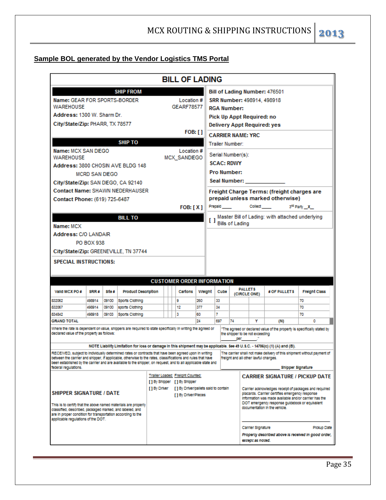#### **Sample BOL generated by the Vendor Logistics TMS Portal**

| <b>BILL OF LADING</b>                                                                                                                                                                                                        |                                                                                    |                |                                    |  |  |                                   |           |        |                                                                                                         |                          |                |                                       |                                                                                                                            |                                                     |
|------------------------------------------------------------------------------------------------------------------------------------------------------------------------------------------------------------------------------|------------------------------------------------------------------------------------|----------------|------------------------------------|--|--|-----------------------------------|-----------|--------|---------------------------------------------------------------------------------------------------------|--------------------------|----------------|---------------------------------------|----------------------------------------------------------------------------------------------------------------------------|-----------------------------------------------------|
|                                                                                                                                                                                                                              |                                                                                    |                | <b>SHIP FROM</b>                   |  |  |                                   |           |        |                                                                                                         |                          |                |                                       | Bill of Lading Number: 476501                                                                                              |                                                     |
| Name: GEAR FOR SPORTS-BORDER<br>Location #                                                                                                                                                                                   |                                                                                    |                |                                    |  |  |                                   |           |        | SRR Number: 498914, 498918                                                                              |                          |                |                                       |                                                                                                                            |                                                     |
| <b>GEARF78577</b><br><b>WAREHOUSE</b>                                                                                                                                                                                        |                                                                                    |                |                                    |  |  |                                   |           |        | <b>RGA Number:</b>                                                                                      |                          |                |                                       |                                                                                                                            |                                                     |
| Address: 1300 W. Sharm Dr.                                                                                                                                                                                                   |                                                                                    |                |                                    |  |  |                                   |           |        |                                                                                                         |                          |                | Pick Up Appt Required: no             |                                                                                                                            |                                                     |
| City/State/Zip: PHARR, TX 78577                                                                                                                                                                                              |                                                                                    |                |                                    |  |  |                                   |           |        |                                                                                                         |                          |                |                                       | <b>Delivery Appt Required: yes</b>                                                                                         |                                                     |
|                                                                                                                                                                                                                              |                                                                                    |                |                                    |  |  |                                   | FOB: []   |        |                                                                                                         | <b>CARRIER NAME: YRC</b> |                |                                       |                                                                                                                            |                                                     |
|                                                                                                                                                                                                                              |                                                                                    |                | <b>SHIP TO</b>                     |  |  |                                   |           |        |                                                                                                         | <b>Trailer Number:</b>   |                |                                       |                                                                                                                            |                                                     |
| Name: MCX SAN DIEGO                                                                                                                                                                                                          |                                                                                    |                |                                    |  |  | Location #                        |           |        |                                                                                                         |                          |                |                                       |                                                                                                                            |                                                     |
| <b>WAREHOUSE</b>                                                                                                                                                                                                             |                                                                                    |                |                                    |  |  | <b>MCX SANDIEGO</b>               |           |        |                                                                                                         | Serial Number(s):        |                |                                       |                                                                                                                            |                                                     |
| Address: 3800 CHOSIN AVE BLDG 148                                                                                                                                                                                            |                                                                                    |                |                                    |  |  |                                   |           |        |                                                                                                         | <b>SCAC: RDWY</b>        |                |                                       |                                                                                                                            |                                                     |
|                                                                                                                                                                                                                              | <b>MCRD SAN DIEGO</b>                                                              |                |                                    |  |  |                                   |           |        |                                                                                                         | Pro Number:              |                |                                       |                                                                                                                            |                                                     |
| City/State/Zip: SAN DIEGO, CA 92140                                                                                                                                                                                          |                                                                                    |                |                                    |  |  |                                   |           |        |                                                                                                         |                          |                | Seal Number:                          |                                                                                                                            |                                                     |
| <b>Contact Name: SHAWN NIEDERHAUSER</b>                                                                                                                                                                                      |                                                                                    |                |                                    |  |  |                                   |           |        |                                                                                                         |                          |                |                                       | Freight Charge Terms: (freight charges are                                                                                 |                                                     |
| Contact Phone: (619) 725-6487                                                                                                                                                                                                |                                                                                    |                |                                    |  |  |                                   |           |        |                                                                                                         |                          |                |                                       | prepaid unless marked otherwise)                                                                                           |                                                     |
|                                                                                                                                                                                                                              |                                                                                    |                |                                    |  |  | <b>FOB:</b> [ X ]                 |           |        | Prepaid                                                                                                 |                          |                | <b>Collect</b>                        |                                                                                                                            | 3 <sup>rd</sup> Party X                             |
|                                                                                                                                                                                                                              |                                                                                    |                | <b>BILL TO</b>                     |  |  |                                   |           |        |                                                                                                         |                          |                |                                       | Master Bill of Lading: with attached underlying                                                                            |                                                     |
| Name: MCX                                                                                                                                                                                                                    |                                                                                    |                |                                    |  |  |                                   |           |        |                                                                                                         | [ ] Bills of Lading      |                |                                       |                                                                                                                            |                                                     |
| Address: C/O LANDAIR                                                                                                                                                                                                         |                                                                                    |                |                                    |  |  |                                   |           |        |                                                                                                         |                          |                |                                       |                                                                                                                            |                                                     |
|                                                                                                                                                                                                                              | <b>PO BOX 938</b>                                                                  |                |                                    |  |  |                                   |           |        |                                                                                                         |                          |                |                                       |                                                                                                                            |                                                     |
| City/State/Zip: GREENEVILLE, TN 37744                                                                                                                                                                                        |                                                                                    |                |                                    |  |  |                                   |           |        |                                                                                                         |                          |                |                                       |                                                                                                                            |                                                     |
| <b>SPECIAL INSTRUCTIONS:</b>                                                                                                                                                                                                 |                                                                                    |                |                                    |  |  |                                   |           |        |                                                                                                         |                          |                |                                       |                                                                                                                            |                                                     |
|                                                                                                                                                                                                                              |                                                                                    |                |                                    |  |  |                                   |           |        |                                                                                                         |                          |                |                                       |                                                                                                                            |                                                     |
|                                                                                                                                                                                                                              |                                                                                    |                |                                    |  |  |                                   |           |        |                                                                                                         |                          |                |                                       |                                                                                                                            |                                                     |
|                                                                                                                                                                                                                              |                                                                                    |                |                                    |  |  | <b>CUSTOMER ORDER INFORMATION</b> |           |        |                                                                                                         |                          | <b>PALLETS</b> |                                       |                                                                                                                            |                                                     |
| Valid MCX PO #                                                                                                                                                                                                               | SRR#                                                                               | site #         | <b>Product Description</b>         |  |  | Cartons                           |           | Weight |                                                                                                         | Cube                     | (CIRCLE ONE)   |                                       | # OF PALLETS                                                                                                               | <b>Freight Class</b>                                |
| 832062                                                                                                                                                                                                                       | 498914                                                                             | 09100          | Sports Clothing                    |  |  | 9                                 | 260       |        | 33                                                                                                      |                          |                |                                       |                                                                                                                            | 70                                                  |
| 832067<br>834842                                                                                                                                                                                                             | 498914<br>498918                                                                   | 09100<br>09103 | sports Clothing<br>Sports Clothing |  |  | 12<br>3                           | 377<br>60 |        | 34<br>7                                                                                                 |                          |                |                                       |                                                                                                                            | 70<br>70                                            |
| <b>GRAND TOTAL</b>                                                                                                                                                                                                           |                                                                                    |                |                                    |  |  |                                   | 24        |        | 697                                                                                                     | 74                       |                | Υ                                     | (M)                                                                                                                        | n                                                   |
| Where the rate is dependent on value, shippers are required to state specifically in writing the agreed or                                                                                                                   |                                                                                    |                |                                    |  |  |                                   |           |        |                                                                                                         |                          |                |                                       | The agreed or declared value of the property is specifically stated by                                                     |                                                     |
| declared value of the property as follows:                                                                                                                                                                                   |                                                                                    |                |                                    |  |  |                                   |           |        | the shipper to be not exceeding<br>per                                                                  |                          |                |                                       |                                                                                                                            |                                                     |
|                                                                                                                                                                                                                              |                                                                                    |                |                                    |  |  |                                   |           |        |                                                                                                         |                          |                |                                       | NOTE Liability Limitation for loss or damage in this shipment may be applicable. See 49 U.S.C. - 14706(c) (1) (A) and (B). |                                                     |
| RECEIVED, subject to individually determined rates or contracts that have been agreed upon in writing                                                                                                                        |                                                                                    |                |                                    |  |  |                                   |           |        |                                                                                                         |                          |                |                                       | The carrier shall not make delivery of this shipment without payment of                                                    |                                                     |
| between the carrier and shipper, if applicable, otherwise to the rates, classifications and rules that have<br>been established by the carrier and are available to the shipper, on request, and to all applicable state and |                                                                                    |                |                                    |  |  |                                   |           |        |                                                                                                         |                          |                | freight and all other lawful charges. |                                                                                                                            |                                                     |
| federal requiations.                                                                                                                                                                                                         |                                                                                    |                |                                    |  |  |                                   |           |        |                                                                                                         |                          |                |                                       | Shipper Signature                                                                                                          |                                                     |
|                                                                                                                                                                                                                              |                                                                                    |                |                                    |  |  | Trailer Loaded: Freight Counted:  |           |        |                                                                                                         |                          |                |                                       |                                                                                                                            | <b>CARRIER SIGNATURE / PICKUP DATE</b>              |
|                                                                                                                                                                                                                              | [ ] By Shipper [ ] By Shipper<br>[1 By Driver [1 By Driver/pallets said to contain |                |                                    |  |  |                                   |           |        |                                                                                                         |                          |                |                                       |                                                                                                                            |                                                     |
| <b>SHIPPER SIGNATURE / DATE</b>                                                                                                                                                                                              |                                                                                    |                |                                    |  |  | [1] By Driver/Pleces              |           |        | Carrier acknowledges receipt of packages and required<br>placards. Carrier certifies emergency response |                          |                |                                       |                                                                                                                            |                                                     |
|                                                                                                                                                                                                                              |                                                                                    |                |                                    |  |  |                                   |           |        |                                                                                                         |                          |                |                                       | Information was made available and/or carrier has the<br>DOT emergency response guidebook or equivalent                    |                                                     |
| This is to certify that the above named materials are properly<br>classified, described, packaged marked, and labeled, and                                                                                                   |                                                                                    |                |                                    |  |  |                                   |           |        |                                                                                                         |                          |                |                                       | documentation in the vehicle.                                                                                              |                                                     |
| are in proper condition for transportation according to the<br>applicable regulations of the DOT.                                                                                                                            |                                                                                    |                |                                    |  |  |                                   |           |        |                                                                                                         |                          |                |                                       |                                                                                                                            |                                                     |
|                                                                                                                                                                                                                              |                                                                                    |                |                                    |  |  |                                   |           |        |                                                                                                         |                          |                | Carrier Signature                     |                                                                                                                            | <b>Pickup Date</b>                                  |
|                                                                                                                                                                                                                              |                                                                                    |                |                                    |  |  |                                   |           |        |                                                                                                         |                          |                |                                       |                                                                                                                            | Property described above is received in good order, |
|                                                                                                                                                                                                                              |                                                                                    |                |                                    |  |  |                                   |           |        |                                                                                                         |                          |                | except as noted.                      |                                                                                                                            |                                                     |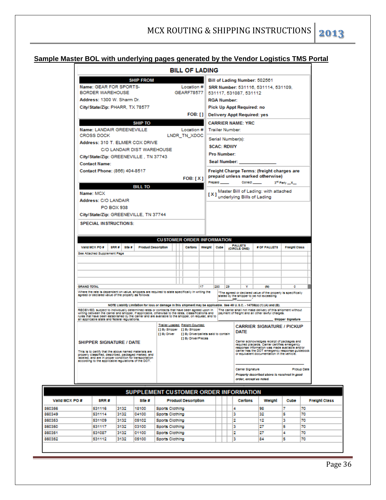#### **Sample Master BOL with underlying pages generated by the Vendor Logistics TMS Portal**

|                                                                                                                                                                                                                                                                                                                                                                                                                                                                                                                                                                                                                          |                            |                   |                  |                                   |  |  | <b>BILL OF LADING</b>                                                                                   |    |                                     |                        |     |                                    |                                                                                                                                                                                                                                                  |                             |  |
|--------------------------------------------------------------------------------------------------------------------------------------------------------------------------------------------------------------------------------------------------------------------------------------------------------------------------------------------------------------------------------------------------------------------------------------------------------------------------------------------------------------------------------------------------------------------------------------------------------------------------|----------------------------|-------------------|------------------|-----------------------------------|--|--|---------------------------------------------------------------------------------------------------------|----|-------------------------------------|------------------------|-----|------------------------------------|--------------------------------------------------------------------------------------------------------------------------------------------------------------------------------------------------------------------------------------------------|-----------------------------|--|
|                                                                                                                                                                                                                                                                                                                                                                                                                                                                                                                                                                                                                          |                            |                   | <b>SHIP FROM</b> |                                   |  |  |                                                                                                         |    |                                     |                        |     |                                    | Bill of Lading Number: 502561                                                                                                                                                                                                                    |                             |  |
| Name: GEAR FOR SPORTS-<br>Location #                                                                                                                                                                                                                                                                                                                                                                                                                                                                                                                                                                                     |                            |                   |                  |                                   |  |  |                                                                                                         |    | SRR Number: 531116, 531114, 531109, |                        |     |                                    |                                                                                                                                                                                                                                                  |                             |  |
| <b>BORDER WAREHOUSE</b>                                                                                                                                                                                                                                                                                                                                                                                                                                                                                                                                                                                                  |                            | <b>GEARF78577</b> |                  |                                   |  |  |                                                                                                         |    | 531117, 531087, 531112              |                        |     |                                    |                                                                                                                                                                                                                                                  |                             |  |
|                                                                                                                                                                                                                                                                                                                                                                                                                                                                                                                                                                                                                          | Address: 1300 W. Sharm Dr. |                   |                  |                                   |  |  |                                                                                                         |    |                                     | <b>RGA Number:</b>     |     |                                    |                                                                                                                                                                                                                                                  |                             |  |
| City/State/Zip: PHARR, TX 78577                                                                                                                                                                                                                                                                                                                                                                                                                                                                                                                                                                                          |                            |                   |                  |                                   |  |  |                                                                                                         |    |                                     |                        |     | Pick Up Appt Required: no          |                                                                                                                                                                                                                                                  |                             |  |
|                                                                                                                                                                                                                                                                                                                                                                                                                                                                                                                                                                                                                          |                            |                   |                  |                                   |  |  | <b>FOB: []</b>                                                                                          |    |                                     |                        |     | <b>Delivery Appt Required: yes</b> |                                                                                                                                                                                                                                                  |                             |  |
|                                                                                                                                                                                                                                                                                                                                                                                                                                                                                                                                                                                                                          |                            |                   | <b>SHIP TO</b>   |                                   |  |  |                                                                                                         |    |                                     |                        |     | <b>CARRIER NAME: YRC</b>           |                                                                                                                                                                                                                                                  |                             |  |
| Name: LANDAIR GREENEVILLE                                                                                                                                                                                                                                                                                                                                                                                                                                                                                                                                                                                                |                            |                   |                  |                                   |  |  | Location #                                                                                              |    |                                     | <b>Trailer Number:</b> |     |                                    |                                                                                                                                                                                                                                                  |                             |  |
| <b>CROSS DOCK</b>                                                                                                                                                                                                                                                                                                                                                                                                                                                                                                                                                                                                        |                            |                   |                  |                                   |  |  | LNDR TN XDOC                                                                                            |    |                                     |                        |     | Serial Number(s):                  |                                                                                                                                                                                                                                                  |                             |  |
| Address: 310 T. ELMER COX DRIVE                                                                                                                                                                                                                                                                                                                                                                                                                                                                                                                                                                                          |                            |                   |                  |                                   |  |  |                                                                                                         |    |                                     | <b>SCAC: RDWY</b>      |     |                                    |                                                                                                                                                                                                                                                  |                             |  |
|                                                                                                                                                                                                                                                                                                                                                                                                                                                                                                                                                                                                                          |                            |                   |                  | <b>C/O LANDAIR DIST WAREHOUSE</b> |  |  |                                                                                                         |    |                                     |                        |     |                                    |                                                                                                                                                                                                                                                  |                             |  |
| City/State/Zip: GREENEVILLE, TN 37743                                                                                                                                                                                                                                                                                                                                                                                                                                                                                                                                                                                    |                            |                   |                  |                                   |  |  |                                                                                                         |    |                                     | <b>Pro Number:</b>     |     |                                    |                                                                                                                                                                                                                                                  |                             |  |
| <b>Contact Name:</b>                                                                                                                                                                                                                                                                                                                                                                                                                                                                                                                                                                                                     |                            |                   |                  |                                   |  |  |                                                                                                         |    |                                     | Seal Number:           |     |                                    |                                                                                                                                                                                                                                                  |                             |  |
| Contact Phone: (866) 404-8517                                                                                                                                                                                                                                                                                                                                                                                                                                                                                                                                                                                            |                            |                   |                  |                                   |  |  |                                                                                                         |    |                                     |                        |     |                                    | Freight Charge Terms: (freight charges are                                                                                                                                                                                                       |                             |  |
|                                                                                                                                                                                                                                                                                                                                                                                                                                                                                                                                                                                                                          |                            |                   |                  |                                   |  |  | FOB: [X]                                                                                                |    |                                     |                        |     |                                    | prepaid unless marked otherwise)                                                                                                                                                                                                                 |                             |  |
|                                                                                                                                                                                                                                                                                                                                                                                                                                                                                                                                                                                                                          |                            |                   | <b>BILL TO</b>   |                                   |  |  |                                                                                                         |    | Prepald                             |                        |     | Collect_                           |                                                                                                                                                                                                                                                  | 3 <sup>rd</sup> Party __X__ |  |
| Name: MCX                                                                                                                                                                                                                                                                                                                                                                                                                                                                                                                                                                                                                |                            |                   |                  |                                   |  |  |                                                                                                         |    | [X]                                 |                        |     |                                    | Master Bill of Lading: with attached                                                                                                                                                                                                             |                             |  |
| Address: C/O LANDAIR                                                                                                                                                                                                                                                                                                                                                                                                                                                                                                                                                                                                     |                            |                   |                  |                                   |  |  |                                                                                                         |    |                                     |                        |     |                                    | underlying Bills of Lading                                                                                                                                                                                                                       |                             |  |
|                                                                                                                                                                                                                                                                                                                                                                                                                                                                                                                                                                                                                          | PO BOX 938                 |                   |                  |                                   |  |  |                                                                                                         |    |                                     |                        |     |                                    |                                                                                                                                                                                                                                                  |                             |  |
|                                                                                                                                                                                                                                                                                                                                                                                                                                                                                                                                                                                                                          |                            |                   |                  |                                   |  |  |                                                                                                         |    |                                     |                        |     |                                    |                                                                                                                                                                                                                                                  |                             |  |
|                                                                                                                                                                                                                                                                                                                                                                                                                                                                                                                                                                                                                          |                            |                   |                  |                                   |  |  |                                                                                                         |    |                                     |                        |     |                                    |                                                                                                                                                                                                                                                  |                             |  |
|                                                                                                                                                                                                                                                                                                                                                                                                                                                                                                                                                                                                                          |                            |                   |                  |                                   |  |  | <b>CUSTOMER ORDER INFORMATION</b>                                                                       |    |                                     |                        |     |                                    |                                                                                                                                                                                                                                                  |                             |  |
| Valid MCX PO #                                                                                                                                                                                                                                                                                                                                                                                                                                                                                                                                                                                                           | SRR#                       | Site #            |                  | <b>Product Description</b>        |  |  | <b>Cartons</b>                                                                                          |    | Welght                              | Cube                   |     | <b>PALLETS</b><br>(CIRCLE ONE)     | # OF PALLETS                                                                                                                                                                                                                                     | <b>Freight Class</b>        |  |
|                                                                                                                                                                                                                                                                                                                                                                                                                                                                                                                                                                                                                          |                            |                   |                  |                                   |  |  |                                                                                                         |    |                                     |                        |     |                                    |                                                                                                                                                                                                                                                  |                             |  |
|                                                                                                                                                                                                                                                                                                                                                                                                                                                                                                                                                                                                                          |                            |                   |                  |                                   |  |  |                                                                                                         |    |                                     |                        |     |                                    |                                                                                                                                                                                                                                                  |                             |  |
|                                                                                                                                                                                                                                                                                                                                                                                                                                                                                                                                                                                                                          |                            |                   |                  |                                   |  |  |                                                                                                         |    |                                     |                        |     |                                    |                                                                                                                                                                                                                                                  |                             |  |
|                                                                                                                                                                                                                                                                                                                                                                                                                                                                                                                                                                                                                          |                            |                   |                  |                                   |  |  |                                                                                                         |    |                                     |                        |     |                                    |                                                                                                                                                                                                                                                  |                             |  |
| <b>SPECIAL INSTRUCTIONS:</b>                                                                                                                                                                                                                                                                                                                                                                                                                                                                                                                                                                                             |                            |                   |                  |                                   |  |  |                                                                                                         | 17 |                                     | 230                    | 129 | v                                  | OO                                                                                                                                                                                                                                               | ٥                           |  |
|                                                                                                                                                                                                                                                                                                                                                                                                                                                                                                                                                                                                                          |                            |                   |                  |                                   |  |  |                                                                                                         |    |                                     |                        |     | per                                | "The agreed or declared value of the property is specifically<br>stated by the shipper to be not exceeding                                                                                                                                       |                             |  |
|                                                                                                                                                                                                                                                                                                                                                                                                                                                                                                                                                                                                                          |                            |                   |                  |                                   |  |  |                                                                                                         |    |                                     |                        |     |                                    | NOTE Liability Limitation for loss or damage in this shipment may be applicable. 8ee 49 U.S.C. - 14706(o) (1) (A) and (B).                                                                                                                       |                             |  |
|                                                                                                                                                                                                                                                                                                                                                                                                                                                                                                                                                                                                                          |                            |                   |                  |                                   |  |  |                                                                                                         |    |                                     |                        |     |                                    | The carrier shall not make delivery of this shipment without<br>payment of freight and all other lawful charges.                                                                                                                                 | <b>Shipper Signature</b>    |  |
| City/State/Zip: GREENEVILLE, TN 37744<br>See Attached Supplement Page<br><b>GRAND TOTAL</b><br>Where the rate is dependent on value, shippers are regulred to state specifically in writing the<br>agreed or declared value of the property as follows:<br>RECEIVED, subject to individually determined rates or contracts that have been agreed upon in<br>writing between the carrier and shipper, if applicable, otherwise to the rates, classifications and<br>rules that have been established by the carrier and are available to the shipper, on request, and to<br>all applicable state and federal repulations. |                            |                   |                  | [1 By Driver                      |  |  | Trailer Loaded: Freight Counted:<br>[] By Shipper [] By Shipper<br>[1 By Driver/pallets said to contain |    |                                     |                        |     | DATE                               | <b>CARRIER SIGNATURE / PICKUP</b>                                                                                                                                                                                                                |                             |  |
|                                                                                                                                                                                                                                                                                                                                                                                                                                                                                                                                                                                                                          |                            |                   |                  |                                   |  |  | [] By Driven/Pleces                                                                                     |    |                                     |                        |     |                                    | Carrier acknowledges receipt of packages and<br>required placards. Camer certifies emergency<br>response information was made available and/or<br>carrier has the DOT emergency response guidebook<br>or equivalent documentation in the vehicle |                             |  |
| <b>SHIPPER SIGNATURE / DATE</b><br>This is to certify that the above named materials are<br>properly classified, described, packaged marked, and<br>labeled, and are in proper condition for transportation.<br>according to the applicable regulations of the DOT.                                                                                                                                                                                                                                                                                                                                                      |                            |                   |                  |                                   |  |  |                                                                                                         |    |                                     |                        |     |                                    |                                                                                                                                                                                                                                                  |                             |  |
|                                                                                                                                                                                                                                                                                                                                                                                                                                                                                                                                                                                                                          |                            |                   |                  |                                   |  |  |                                                                                                         |    |                                     |                        |     | Camler Signature                   | Property described above is received in good                                                                                                                                                                                                     | <b>Pickup Date</b>          |  |

| SUPPLEMENT CUSTOMER ORDER INFORMATION |        |      |        |                            |  |  |         |        |      |                      |
|---------------------------------------|--------|------|--------|----------------------------|--|--|---------|--------|------|----------------------|
| Valid MCX PO #                        | SRRH   |      | Sifo # | <b>Product Description</b> |  |  | Cartons | Welght | Cube | <b>Freight Class</b> |
| 860356                                | 531116 | 3132 | 18100  | Sports Clothing            |  |  |         | 98     |      | 70                   |
| 860349                                | 531114 | 3132 | 04100  | Sports Clothing            |  |  |         | 32     |      | 70                   |
| 860353                                | 531109 | 3132 | 05102  | Sports Clothing            |  |  |         | 12     |      | 70                   |
| 860350                                | 531117 | 3132 | 03100  | Sports Clothing            |  |  | з       | 27     | 5    | 70                   |
| 860351                                | 531087 | 3132 | 01100  | Sports Clothing            |  |  | 2       | 27     |      | 70                   |
| 860352                                | 531112 | 3132 | 05100  | Sports Clothing            |  |  | з       | 84     | 5    | 70                   |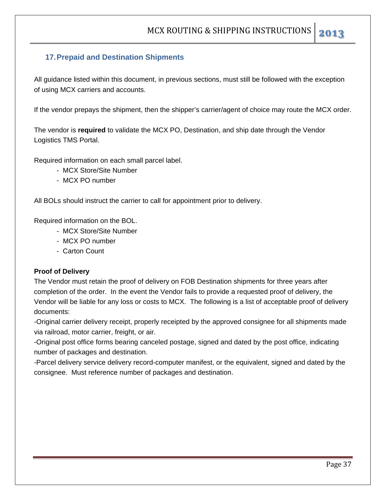#### **17. Prepaid and Destination Shipments**

All guidance listed within this document, in previous sections, must still be followed with the exception of using MCX carriers and accounts.

If the vendor prepays the shipment, then the shipper's carrier/agent of choice may route the MCX order.

The vendor is **required** to validate the MCX PO, Destination, and ship date through the Vendor Logistics TMS Portal.

Required information on each small parcel label.

- MCX Store/Site Number
- MCX PO number

All BOLs should instruct the carrier to call for appointment prior to delivery.

Required information on the BOL.

- MCX Store/Site Number
- MCX PO number
- Carton Count

#### **Proof of Delivery**

The Vendor must retain the proof of delivery on FOB Destination shipments for three years after completion of the order. In the event the Vendor fails to provide a requested proof of delivery, the Vendor will be liable for any loss or costs to MCX. The following is a list of acceptable proof of delivery documents:

-Original carrier delivery receipt, properly receipted by the approved consignee for all shipments made via railroad, motor carrier, freight, or air.

-Original post office forms bearing canceled postage, signed and dated by the post office, indicating number of packages and destination.

-Parcel delivery service delivery record-computer manifest, or the equivalent, signed and dated by the consignee. Must reference number of packages and destination.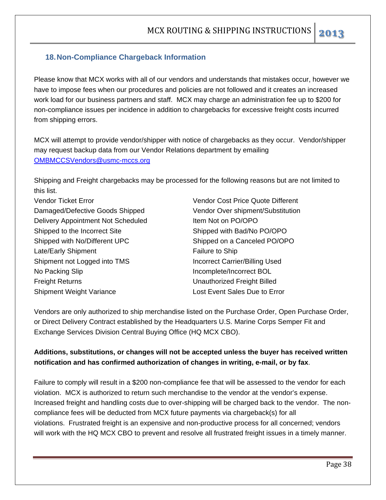#### **18. Non-Compliance Chargeback Information**

Please know that MCX works with all of our vendors and understands that mistakes occur, however we have to impose fees when our procedures and policies are not followed and it creates an increased work load for our business partners and staff. MCX may charge an administration fee up to \$200 for non-compliance issues per incidence in addition to chargebacks for excessive freight costs incurred from shipping errors.

MCX will attempt to provide vendor/shipper with notice of chargebacks as they occur. Vendor/shipper may request backup data from our Vendor Relations department by emailing OMBMCCSVendors@usmc-mccs.org

Shipping and Freight chargebacks may be processed for the following reasons but are not limited to this list.

Vendor Ticket Error Vendor Cost Price Quote Different Damaged/Defective Goods Shipped Vendor Over shipment/Substitution Delivery Appointment Not Scheduled Item Not on PO/OPO Shipped to the Incorrect Site Shipped with Bad/No PO/OPO Shipped with No/Different UPC Shipped on a Canceled PO/OPO Late/Early Shipment Failure to Ship Shipment not Logged into TMS Incorrect Carrier/Billing Used No Packing Slip **Incomplete** Incomplete/Incorrect BOL Freight Returns Unauthorized Freight Billed Shipment Weight Variance **Lost Event Sales Due to Error** 

Vendors are only authorized to ship merchandise listed on the Purchase Order, Open Purchase Order, or Direct Delivery Contract established by the Headquarters U.S. Marine Corps Semper Fit and Exchange Services Division Central Buying Office (HQ MCX CBO).

#### **Additions, substitutions, or changes will not be accepted unless the buyer has received written notification and has confirmed authorization of changes in writing, e-mail, or by fax**.

Failure to comply will result in a \$200 non-compliance fee that will be assessed to the vendor for each violation. MCX is authorized to return such merchandise to the vendor at the vendor's expense. Increased freight and handling costs due to over-shipping will be charged back to the vendor. The noncompliance fees will be deducted from MCX future payments via chargeback(s) for all violations. Frustrated freight is an expensive and non-productive process for all concerned; vendors will work with the HQ MCX CBO to prevent and resolve all frustrated freight issues in a timely manner.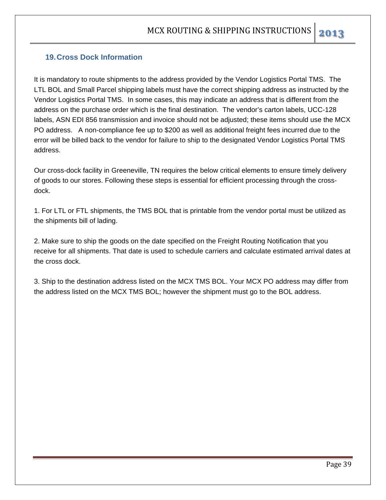#### **19. Cross Dock Information**

It is mandatory to route shipments to the address provided by the Vendor Logistics Portal TMS. The LTL BOL and Small Parcel shipping labels must have the correct shipping address as instructed by the Vendor Logistics Portal TMS. In some cases, this may indicate an address that is different from the address on the purchase order which is the final destination. The vendor's carton labels, UCC-128 labels, ASN EDI 856 transmission and invoice should not be adjusted; these items should use the MCX PO address. A non-compliance fee up to \$200 as well as additional freight fees incurred due to the error will be billed back to the vendor for failure to ship to the designated Vendor Logistics Portal TMS address.

Our cross-dock facility in Greeneville, TN requires the below critical elements to ensure timely delivery of goods to our stores. Following these steps is essential for efficient processing through the crossdock.

1. For LTL or FTL shipments, the TMS BOL that is printable from the vendor portal must be utilized as the shipments bill of lading.

2. Make sure to ship the goods on the date specified on the Freight Routing Notification that you receive for all shipments. That date is used to schedule carriers and calculate estimated arrival dates at the cross dock.

3. Ship to the destination address listed on the MCX TMS BOL. Your MCX PO address may differ from the address listed on the MCX TMS BOL; however the shipment must go to the BOL address.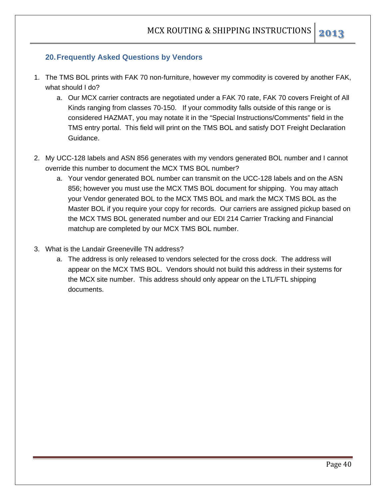- 1. The TMS BOL prints with FAK 70 non-furniture, however my commodity is covered by another FAK, what should I do?
	- a. Our MCX carrier contracts are negotiated under a FAK 70 rate, FAK 70 covers Freight of All Kinds ranging from classes 70-150. If your commodity falls outside of this range or is considered HAZMAT, you may notate it in the "Special Instructions/Comments" field in the TMS entry portal. This field will print on the TMS BOL and satisfy DOT Freight Declaration Guidance.
- 2. My UCC-128 labels and ASN 856 generates with my vendors generated BOL number and I cannot override this number to document the MCX TMS BOL number?
	- a. Your vendor generated BOL number can transmit on the UCC-128 labels and on the ASN 856; however you must use the MCX TMS BOL document for shipping. You may attach your Vendor generated BOL to the MCX TMS BOL and mark the MCX TMS BOL as the Master BOL if you require your copy for records. Our carriers are assigned pickup based on the MCX TMS BOL generated number and our EDI 214 Carrier Tracking and Financial matchup are completed by our MCX TMS BOL number.
- 3. What is the Landair Greeneville TN address?
	- a. The address is only released to vendors selected for the cross dock. The address will appear on the MCX TMS BOL. Vendors should not build this address in their systems for the MCX site number. This address should only appear on the LTL/FTL shipping documents.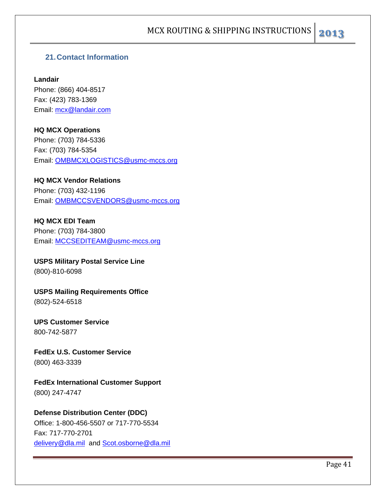#### **21. Contact Information**

**Landair** Phone: (866) 404-8517 Fax: (423) 783-1369 Email: mcx@landair.com

#### **HQ MCX Operations** Phone: (703) 784-5336 Fax: (703) 784-5354 Email: OMBMCXLOGISTICS@usmc-mccs.org

#### **HQ MCX Vendor Relations**

Phone: (703) 432-1196 Email: OMBMCCSVENDORS@usmc-mccs.org

**HQ MCX EDI Team**  Phone: (703) 784-3800 Email: MCCSEDITEAM@usmc-mccs.org

**USPS Military Postal Service Line** (800)-810-6098

**USPS Mailing Requirements Office** (802)-524-6518

**UPS Customer Service**  800-742-5877

**FedEx U.S. Customer Service** (800) 463-3339

**FedEx International Customer Support** (800) 247-4747

**Defense Distribution Center (DDC)**  Office: 1-800-456-5507 or 717-770-5534 Fax: 717-770-2701

delivery@dla.mil and Scot.osborne@dla.mil